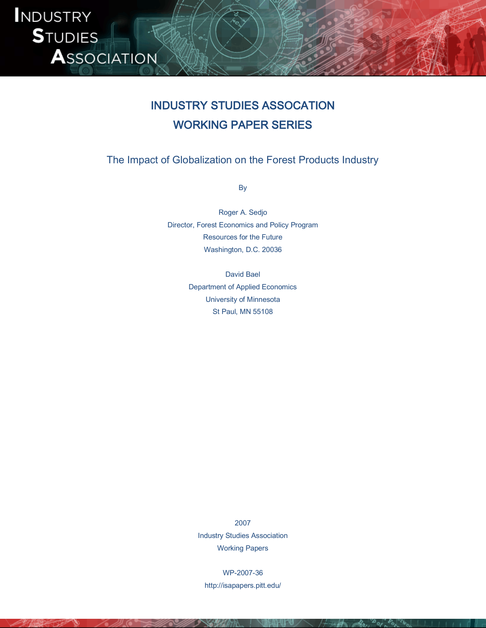

# INDUSTRY STUDIES ASSOCATION WORKING PAPER SERIES

The Impact of Globalization on the Forest Products Industry

By

Roger A. Sedjo Director, Forest Economics and Policy Program Resources for the Future Washington, D.C. 20036

> David Bael Department of Applied Economics University of Minnesota St Paul, MN 55108

2007 Industry Studies Association Working Papers

WP-2007-36 http://isapapers.pitt.edu/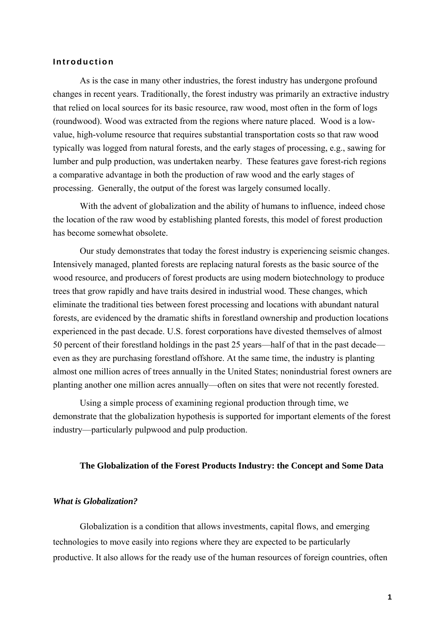## **Introduction**

As is the case in many other industries, the forest industry has undergone profound changes in recent years. Traditionally, the forest industry was primarily an extractive industry that relied on local sources for its basic resource, raw wood, most often in the form of logs (roundwood). Wood was extracted from the regions where nature placed. Wood is a lowvalue, high-volume resource that requires substantial transportation costs so that raw wood typically was logged from natural forests, and the early stages of processing, e.g., sawing for lumber and pulp production, was undertaken nearby. These features gave forest-rich regions a comparative advantage in both the production of raw wood and the early stages of processing. Generally, the output of the forest was largely consumed locally.

With the advent of globalization and the ability of humans to influence, indeed chose the location of the raw wood by establishing planted forests, this model of forest production has become somewhat obsolete.

Our study demonstrates that today the forest industry is experiencing seismic changes. Intensively managed, planted forests are replacing natural forests as the basic source of the wood resource, and producers of forest products are using modern biotechnology to produce trees that grow rapidly and have traits desired in industrial wood. These changes, which eliminate the traditional ties between forest processing and locations with abundant natural forests, are evidenced by the dramatic shifts in forestland ownership and production locations experienced in the past decade. U.S. forest corporations have divested themselves of almost 50 percent of their forestland holdings in the past 25 years—half of that in the past decade even as they are purchasing forestland offshore. At the same time, the industry is planting almost one million acres of trees annually in the United States; nonindustrial forest owners are planting another one million acres annually—often on sites that were not recently forested.

Using a simple process of examining regional production through time, we demonstrate that the globalization hypothesis is supported for important elements of the forest industry—particularly pulpwood and pulp production.

#### **The Globalization of the Forest Products Industry: the Concept and Some Data**

#### *What is Globalization?*

Globalization is a condition that allows investments, capital flows, and emerging technologies to move easily into regions where they are expected to be particularly productive. It also allows for the ready use of the human resources of foreign countries, often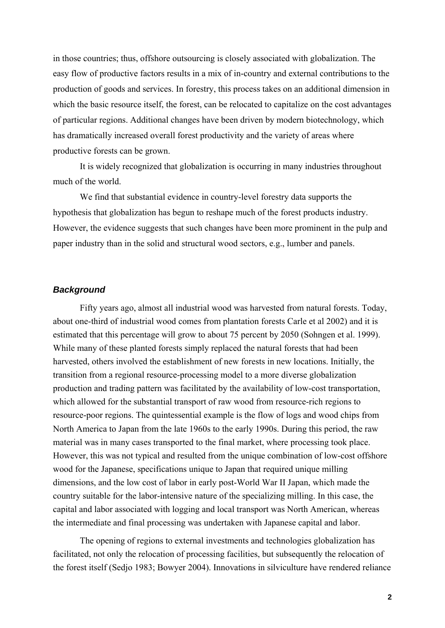in those countries; thus, offshore outsourcing is closely associated with globalization. The easy flow of productive factors results in a mix of in-country and external contributions to the production of goods and services. In forestry, this process takes on an additional dimension in which the basic resource itself, the forest, can be relocated to capitalize on the cost advantages of particular regions. Additional changes have been driven by modern biotechnology, which has dramatically increased overall forest productivity and the variety of areas where productive forests can be grown.

It is widely recognized that globalization is occurring in many industries throughout much of the world.

We find that substantial evidence in country-level forestry data supports the hypothesis that globalization has begun to reshape much of the forest products industry. However, the evidence suggests that such changes have been more prominent in the pulp and paper industry than in the solid and structural wood sectors, e.g., lumber and panels.

## *Background*

Fifty years ago, almost all industrial wood was harvested from natural forests. Today, about one-third of industrial wood comes from plantation forests Carle et al 2002) and it is estimated that this percentage will grow to about 75 percent by 2050 (Sohngen et al. 1999). While many of these planted forests simply replaced the natural forests that had been harvested, others involved the establishment of new forests in new locations. Initially, the transition from a regional resource-processing model to a more diverse globalization production and trading pattern was facilitated by the availability of low-cost transportation, which allowed for the substantial transport of raw wood from resource-rich regions to resource-poor regions. The quintessential example is the flow of logs and wood chips from North America to Japan from the late 1960s to the early 1990s. During this period, the raw material was in many cases transported to the final market, where processing took place. However, this was not typical and resulted from the unique combination of low-cost offshore wood for the Japanese, specifications unique to Japan that required unique milling dimensions, and the low cost of labor in early post-World War II Japan, which made the country suitable for the labor-intensive nature of the specializing milling. In this case, the capital and labor associated with logging and local transport was North American, whereas the intermediate and final processing was undertaken with Japanese capital and labor.

The opening of regions to external investments and technologies globalization has facilitated, not only the relocation of processing facilities, but subsequently the relocation of the forest itself (Sedjo 1983; Bowyer 2004). Innovations in silviculture have rendered reliance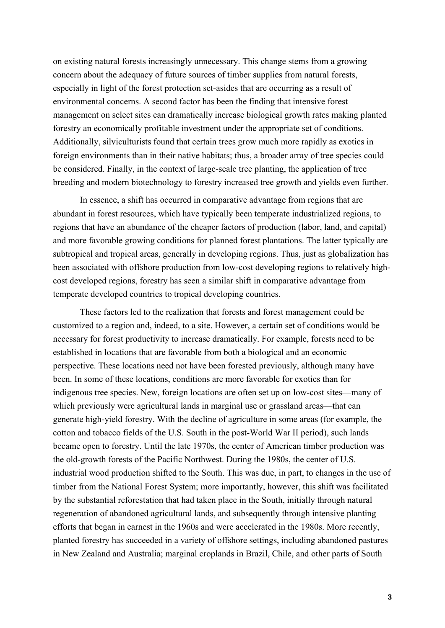on existing natural forests increasingly unnecessary. This change stems from a growing concern about the adequacy of future sources of timber supplies from natural forests, especially in light of the forest protection set-asides that are occurring as a result of environmental concerns. A second factor has been the finding that intensive forest management on select sites can dramatically increase biological growth rates making planted forestry an economically profitable investment under the appropriate set of conditions. Additionally, silviculturists found that certain trees grow much more rapidly as exotics in foreign environments than in their native habitats; thus, a broader array of tree species could be considered. Finally, in the context of large-scale tree planting, the application of tree breeding and modern biotechnology to forestry increased tree growth and yields even further.

In essence, a shift has occurred in comparative advantage from regions that are abundant in forest resources, which have typically been temperate industrialized regions, to regions that have an abundance of the cheaper factors of production (labor, land, and capital) and more favorable growing conditions for planned forest plantations. The latter typically are subtropical and tropical areas, generally in developing regions. Thus, just as globalization has been associated with offshore production from low-cost developing regions to relatively highcost developed regions, forestry has seen a similar shift in comparative advantage from temperate developed countries to tropical developing countries.

These factors led to the realization that forests and forest management could be customized to a region and, indeed, to a site. However, a certain set of conditions would be necessary for forest productivity to increase dramatically. For example, forests need to be established in locations that are favorable from both a biological and an economic perspective. These locations need not have been forested previously, although many have been. In some of these locations, conditions are more favorable for exotics than for indigenous tree species. New, foreign locations are often set up on low-cost sites—many of which previously were agricultural lands in marginal use or grassland areas—that can generate high-yield forestry. With the decline of agriculture in some areas (for example, the cotton and tobacco fields of the U.S. South in the post-World War II period), such lands became open to forestry. Until the late 1970s, the center of American timber production was the old-growth forests of the Pacific Northwest. During the 1980s, the center of U.S. industrial wood production shifted to the South. This was due, in part, to changes in the use of timber from the National Forest System; more importantly, however, this shift was facilitated by the substantial reforestation that had taken place in the South, initially through natural regeneration of abandoned agricultural lands, and subsequently through intensive planting efforts that began in earnest in the 1960s and were accelerated in the 1980s. More recently, planted forestry has succeeded in a variety of offshore settings, including abandoned pastures in New Zealand and Australia; marginal croplands in Brazil, Chile, and other parts of South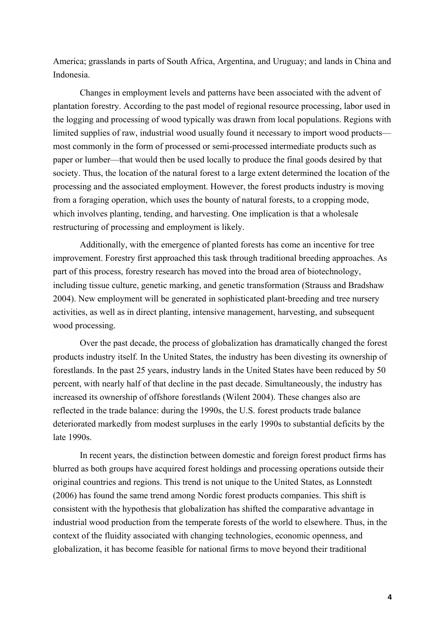America; grasslands in parts of South Africa, Argentina, and Uruguay; and lands in China and Indonesia.

Changes in employment levels and patterns have been associated with the advent of plantation forestry. According to the past model of regional resource processing, labor used in the logging and processing of wood typically was drawn from local populations. Regions with limited supplies of raw, industrial wood usually found it necessary to import wood products most commonly in the form of processed or semi-processed intermediate products such as paper or lumber—that would then be used locally to produce the final goods desired by that society. Thus, the location of the natural forest to a large extent determined the location of the processing and the associated employment. However, the forest products industry is moving from a foraging operation, which uses the bounty of natural forests, to a cropping mode, which involves planting, tending, and harvesting. One implication is that a wholesale restructuring of processing and employment is likely.

Additionally, with the emergence of planted forests has come an incentive for tree improvement. Forestry first approached this task through traditional breeding approaches. As part of this process, forestry research has moved into the broad area of biotechnology, including tissue culture, genetic marking, and genetic transformation (Strauss and Bradshaw 2004). New employment will be generated in sophisticated plant-breeding and tree nursery activities, as well as in direct planting, intensive management, harvesting, and subsequent wood processing.

Over the past decade, the process of globalization has dramatically changed the forest products industry itself. In the United States, the industry has been divesting its ownership of forestlands. In the past 25 years, industry lands in the United States have been reduced by 50 percent, with nearly half of that decline in the past decade. Simultaneously, the industry has increased its ownership of offshore forestlands (Wilent 2004). These changes also are reflected in the trade balance: during the 1990s, the U.S. forest products trade balance deteriorated markedly from modest surpluses in the early 1990s to substantial deficits by the late 1990s.

In recent years, the distinction between domestic and foreign forest product firms has blurred as both groups have acquired forest holdings and processing operations outside their original countries and regions. This trend is not unique to the United States, as Lonnstedt (2006) has found the same trend among Nordic forest products companies. This shift is consistent with the hypothesis that globalization has shifted the comparative advantage in industrial wood production from the temperate forests of the world to elsewhere. Thus, in the context of the fluidity associated with changing technologies, economic openness, and globalization, it has become feasible for national firms to move beyond their traditional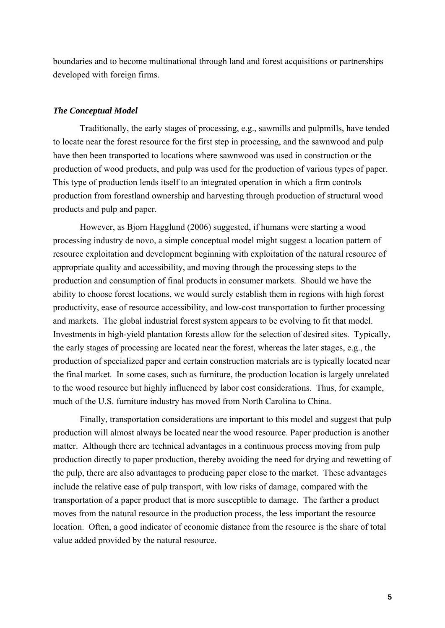boundaries and to become multinational through land and forest acquisitions or partnerships developed with foreign firms.

## *The Conceptual Model*

Traditionally, the early stages of processing, e.g., sawmills and pulpmills, have tended to locate near the forest resource for the first step in processing, and the sawnwood and pulp have then been transported to locations where sawnwood was used in construction or the production of wood products, and pulp was used for the production of various types of paper. This type of production lends itself to an integrated operation in which a firm controls production from forestland ownership and harvesting through production of structural wood products and pulp and paper.

However, as Bjorn Hagglund (2006) suggested, if humans were starting a wood processing industry de novo, a simple conceptual model might suggest a location pattern of resource exploitation and development beginning with exploitation of the natural resource of appropriate quality and accessibility, and moving through the processing steps to the production and consumption of final products in consumer markets. Should we have the ability to choose forest locations, we would surely establish them in regions with high forest productivity, ease of resource accessibility, and low-cost transportation to further processing and markets. The global industrial forest system appears to be evolving to fit that model. Investments in high-yield plantation forests allow for the selection of desired sites. Typically, the early stages of processing are located near the forest, whereas the later stages, e.g., the production of specialized paper and certain construction materials are is typically located near the final market. In some cases, such as furniture, the production location is largely unrelated to the wood resource but highly influenced by labor cost considerations. Thus, for example, much of the U.S. furniture industry has moved from North Carolina to China.

Finally, transportation considerations are important to this model and suggest that pulp production will almost always be located near the wood resource. Paper production is another matter. Although there are technical advantages in a continuous process moving from pulp production directly to paper production, thereby avoiding the need for drying and rewetting of the pulp, there are also advantages to producing paper close to the market. These advantages include the relative ease of pulp transport, with low risks of damage, compared with the transportation of a paper product that is more susceptible to damage. The farther a product moves from the natural resource in the production process, the less important the resource location. Often, a good indicator of economic distance from the resource is the share of total value added provided by the natural resource.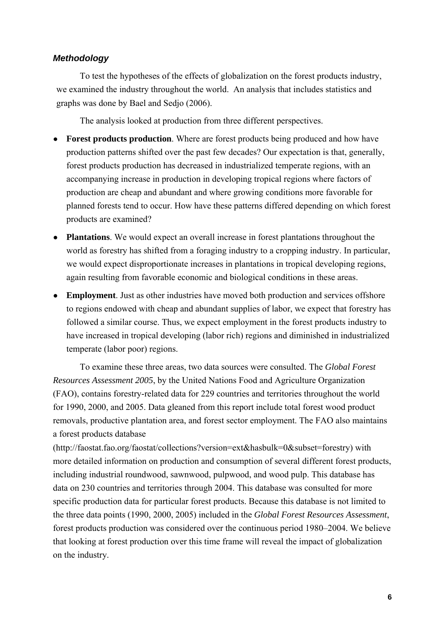## *Methodology*

To test the hypotheses of the effects of globalization on the forest products industry, we examined the industry throughout the world. An analysis that includes statistics and graphs was done by Bael and Sedjo (2006).

The analysis looked at production from three different perspectives.

- **Forest products production**. Where are forest products being produced and how have production patterns shifted over the past few decades? Our expectation is that, generally, forest products production has decreased in industrialized temperate regions, with an accompanying increase in production in developing tropical regions where factors of production are cheap and abundant and where growing conditions more favorable for planned forests tend to occur. How have these patterns differed depending on which forest products are examined?
- **Plantations**. We would expect an overall increase in forest plantations throughout the world as forestry has shifted from a foraging industry to a cropping industry. In particular, we would expect disproportionate increases in plantations in tropical developing regions, again resulting from favorable economic and biological conditions in these areas.
- **Employment**. Just as other industries have moved both production and services offshore to regions endowed with cheap and abundant supplies of labor, we expect that forestry has followed a similar course. Thus, we expect employment in the forest products industry to have increased in tropical developing (labor rich) regions and diminished in industrialized temperate (labor poor) regions.

To examine these three areas, two data sources were consulted. The *Global Forest Resources Assessment 2005*, by the United Nations Food and Agriculture Organization (FAO), contains forestry-related data for 229 countries and territories throughout the world for 1990, 2000, and 2005. Data gleaned from this report include total forest wood product removals, productive plantation area, and forest sector employment. The FAO also maintains a forest products database

(http://faostat.fao.org/faostat/collections?version=ext&hasbulk=0&subset=forestry) with more detailed information on production and consumption of several different forest products, including industrial roundwood, sawnwood, pulpwood, and wood pulp. This database has data on 230 countries and territories through 2004. This database was consulted for more specific production data for particular forest products. Because this database is not limited to the three data points (1990, 2000, 2005) included in the *Global Forest Resources Assessment*, forest products production was considered over the continuous period 1980–2004. We believe that looking at forest production over this time frame will reveal the impact of globalization on the industry.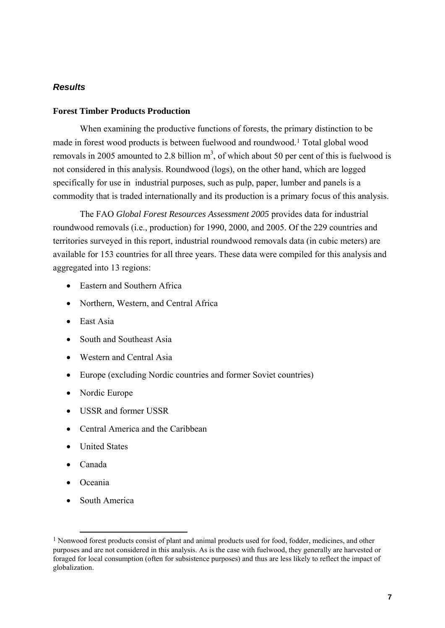## *Results*

## **Forest Timber Products Production**

When examining the productive functions of forests, the primary distinction to be made in forest wood products is between fuelwood and roundwood.[1](#page-7-0) Total global wood removals in 2005 amounted to 2.8 billion  $m<sup>3</sup>$ , of which about 50 per cent of this is fuelwood is not considered in this analysis. Roundwood (logs), on the other hand, which are logged specifically for use in industrial purposes, such as pulp, paper, lumber and panels is a commodity that is traded internationally and its production is a primary focus of this analysis.

The FAO *Global Forest Resources Assessment 2005* provides data for industrial roundwood removals (i.e., production) for 1990, 2000, and 2005. Of the 229 countries and territories surveyed in this report, industrial roundwood removals data (in cubic meters) are available for 153 countries for all three years. These data were compiled for this analysis and aggregated into 13 regions:

- Eastern and Southern Africa
- Northern, Western, and Central Africa
- East Asia
- South and Southeast Asia
- Western and Central Asia
- Europe (excluding Nordic countries and former Soviet countries)
- Nordic Europe
- USSR and former USSR
- Central America and the Caribbean
- United States
- Canada
- Oceania
- South America

<span id="page-7-0"></span><sup>&</sup>lt;sup>1</sup> Nonwood forest products consist of plant and animal products used for food, fodder, medicines, and other purposes and are not considered in this analysis. As is the case with fuelwood, they generally are harvested or foraged for local consumption (often for subsistence purposes) and thus are less likely to reflect the impact of globalization.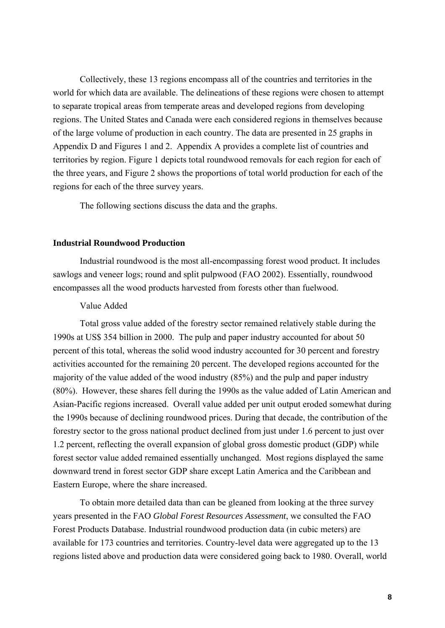Collectively, these 13 regions encompass all of the countries and territories in the world for which data are available. The delineations of these regions were chosen to attempt to separate tropical areas from temperate areas and developed regions from developing regions. The United States and Canada were each considered regions in themselves because of the large volume of production in each country. The data are presented in 25 graphs in Appendix D and Figures 1 and 2. Appendix A provides a complete list of countries and territories by region. Figure 1 depicts total roundwood removals for each region for each of the three years, and Figure 2 shows the proportions of total world production for each of the regions for each of the three survey years.

The following sections discuss the data and the graphs.

#### **Industrial Roundwood Production**

Industrial roundwood is the most all-encompassing forest wood product. It includes sawlogs and veneer logs; round and split pulpwood (FAO 2002). Essentially, roundwood encompasses all the wood products harvested from forests other than fuelwood.

#### Value Added

Total gross value added of the forestry sector remained relatively stable during the 1990s at US\$ 354 billion in 2000. The pulp and paper industry accounted for about 50 percent of this total, whereas the solid wood industry accounted for 30 percent and forestry activities accounted for the remaining 20 percent. The developed regions accounted for the majority of the value added of the wood industry (85%) and the pulp and paper industry (80%). However, these shares fell during the 1990s as the value added of Latin American and Asian-Pacific regions increased. Overall value added per unit output eroded somewhat during the 1990s because of declining roundwood prices. During that decade, the contribution of the forestry sector to the gross national product declined from just under 1.6 percent to just over 1.2 percent, reflecting the overall expansion of global gross domestic product (GDP) while forest sector value added remained essentially unchanged. Most regions displayed the same downward trend in forest sector GDP share except Latin America and the Caribbean and Eastern Europe, where the share increased.

To obtain more detailed data than can be gleaned from looking at the three survey years presented in the FAO *Global Forest Resources Assessment*, we consulted the FAO Forest Products Database. Industrial roundwood production data (in cubic meters) are available for 173 countries and territories. Country-level data were aggregated up to the 13 regions listed above and production data were considered going back to 1980. Overall, world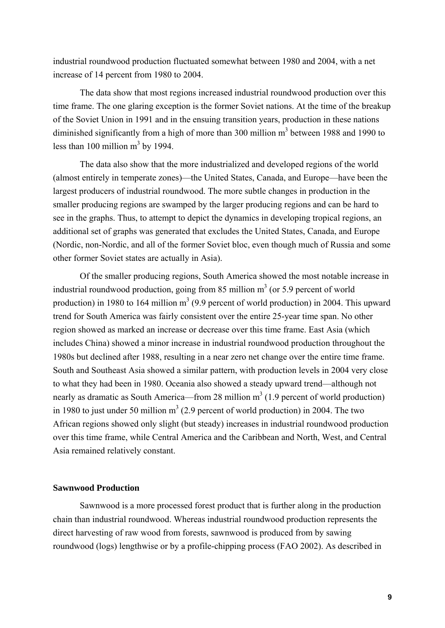industrial roundwood production fluctuated somewhat between 1980 and 2004, with a net increase of 14 percent from 1980 to 2004.

The data show that most regions increased industrial roundwood production over this time frame. The one glaring exception is the former Soviet nations. At the time of the breakup of the Soviet Union in 1991 and in the ensuing transition years, production in these nations diminished significantly from a high of more than 300 million  $m<sup>3</sup>$  between 1988 and 1990 to less than 100 million  $m<sup>3</sup>$  by 1994.

The data also show that the more industrialized and developed regions of the world (almost entirely in temperate zones)—the United States, Canada, and Europe—have been the largest producers of industrial roundwood. The more subtle changes in production in the smaller producing regions are swamped by the larger producing regions and can be hard to see in the graphs. Thus, to attempt to depict the dynamics in developing tropical regions, an additional set of graphs was generated that excludes the United States, Canada, and Europe (Nordic, non-Nordic, and all of the former Soviet bloc, even though much of Russia and some other former Soviet states are actually in Asia).

Of the smaller producing regions, South America showed the most notable increase in industrial roundwood production, going from 85 million  $m<sup>3</sup>$  (or 5.9 percent of world production) in 1980 to 164 million  $m^3$  (9.9 percent of world production) in 2004. This upward trend for South America was fairly consistent over the entire 25-year time span. No other region showed as marked an increase or decrease over this time frame. East Asia (which includes China) showed a minor increase in industrial roundwood production throughout the 1980s but declined after 1988, resulting in a near zero net change over the entire time frame. South and Southeast Asia showed a similar pattern, with production levels in 2004 very close to what they had been in 1980. Oceania also showed a steady upward trend—although not nearly as dramatic as South America—from 28 million  $m<sup>3</sup>$  (1.9 percent of world production) in 1980 to just under 50 million  $m<sup>3</sup>$  (2.9 percent of world production) in 2004. The two African regions showed only slight (but steady) increases in industrial roundwood production over this time frame, while Central America and the Caribbean and North, West, and Central Asia remained relatively constant.

#### **Sawnwood Production**

Sawnwood is a more processed forest product that is further along in the production chain than industrial roundwood. Whereas industrial roundwood production represents the direct harvesting of raw wood from forests, sawnwood is produced from by sawing roundwood (logs) lengthwise or by a profile-chipping process (FAO 2002). As described in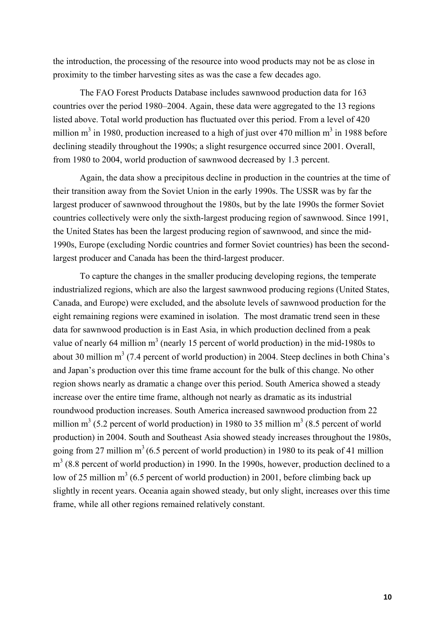the introduction, the processing of the resource into wood products may not be as close in proximity to the timber harvesting sites as was the case a few decades ago.

The FAO Forest Products Database includes sawnwood production data for 163 countries over the period 1980–2004. Again, these data were aggregated to the 13 regions listed above. Total world production has fluctuated over this period. From a level of 420 million m<sup>3</sup> in 1980, production increased to a high of just over 470 million m<sup>3</sup> in 1988 before declining steadily throughout the 1990s; a slight resurgence occurred since 2001. Overall, from 1980 to 2004, world production of sawnwood decreased by 1.3 percent.

Again, the data show a precipitous decline in production in the countries at the time of their transition away from the Soviet Union in the early 1990s. The USSR was by far the largest producer of sawnwood throughout the 1980s, but by the late 1990s the former Soviet countries collectively were only the sixth-largest producing region of sawnwood. Since 1991, the United States has been the largest producing region of sawnwood, and since the mid-1990s, Europe (excluding Nordic countries and former Soviet countries) has been the secondlargest producer and Canada has been the third-largest producer.

To capture the changes in the smaller producing developing regions, the temperate industrialized regions, which are also the largest sawnwood producing regions (United States, Canada, and Europe) were excluded, and the absolute levels of sawnwood production for the eight remaining regions were examined in isolation. The most dramatic trend seen in these data for sawnwood production is in East Asia, in which production declined from a peak value of nearly 64 million  $m<sup>3</sup>$  (nearly 15 percent of world production) in the mid-1980s to about 30 million  $m^3$  (7.4 percent of world production) in 2004. Steep declines in both China's and Japan's production over this time frame account for the bulk of this change. No other region shows nearly as dramatic a change over this period. South America showed a steady increase over the entire time frame, although not nearly as dramatic as its industrial roundwood production increases. South America increased sawnwood production from 22 million  $m^3$  (5.2 percent of world production) in 1980 to 35 million  $m^3$  (8.5 percent of world production) in 2004. South and Southeast Asia showed steady increases throughout the 1980s, going from 27 million  $m<sup>3</sup>$  (6.5 percent of world production) in 1980 to its peak of 41 million  $m<sup>3</sup>$  (8.8 percent of world production) in 1990. In the 1990s, however, production declined to a low of 25 million  $m<sup>3</sup>$  (6.5 percent of world production) in 2001, before climbing back up slightly in recent years. Oceania again showed steady, but only slight, increases over this time frame, while all other regions remained relatively constant.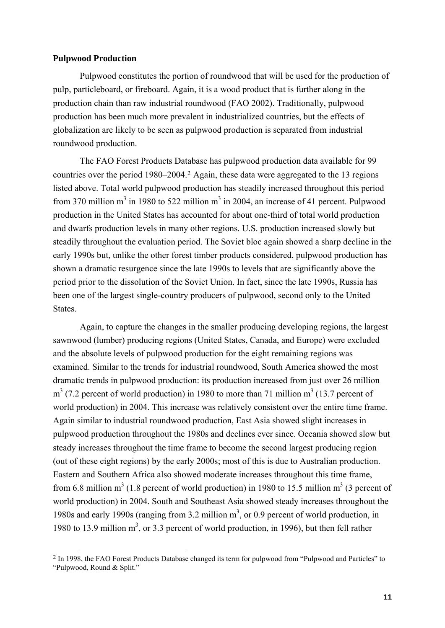## **Pulpwood Production**

Pulpwood constitutes the portion of roundwood that will be used for the production of pulp, particleboard, or fireboard. Again, it is a wood product that is further along in the production chain than raw industrial roundwood (FAO 2002). Traditionally, pulpwood production has been much more prevalent in industrialized countries, but the effects of globalization are likely to be seen as pulpwood production is separated from industrial roundwood production.

The FAO Forest Products Database has pulpwood production data available for 99 countries over the period 1980–2004.[2](#page-11-0) Again, these data were aggregated to the 13 regions listed above. Total world pulpwood production has steadily increased throughout this period from 370 million  $m<sup>3</sup>$  in 1980 to 522 million  $m<sup>3</sup>$  in 2004, an increase of 41 percent. Pulpwood production in the United States has accounted for about one-third of total world production and dwarfs production levels in many other regions. U.S. production increased slowly but steadily throughout the evaluation period. The Soviet bloc again showed a sharp decline in the early 1990s but, unlike the other forest timber products considered, pulpwood production has shown a dramatic resurgence since the late 1990s to levels that are significantly above the period prior to the dissolution of the Soviet Union. In fact, since the late 1990s, Russia has been one of the largest single-country producers of pulpwood, second only to the United States.

Again, to capture the changes in the smaller producing developing regions, the largest sawnwood (lumber) producing regions (United States, Canada, and Europe) were excluded and the absolute levels of pulpwood production for the eight remaining regions was examined. Similar to the trends for industrial roundwood, South America showed the most dramatic trends in pulpwood production: its production increased from just over 26 million  $m<sup>3</sup>$  (7.2 percent of world production) in 1980 to more than 71 million  $m<sup>3</sup>$  (13.7 percent of world production) in 2004. This increase was relatively consistent over the entire time frame. Again similar to industrial roundwood production, East Asia showed slight increases in pulpwood production throughout the 1980s and declines ever since. Oceania showed slow but steady increases throughout the time frame to become the second largest producing region (out of these eight regions) by the early 2000s; most of this is due to Australian production. Eastern and Southern Africa also showed moderate increases throughout this time frame, from 6.8 million  $m^3$  (1.8 percent of world production) in 1980 to 15.5 million  $m^3$  (3 percent of world production) in 2004. South and Southeast Asia showed steady increases throughout the 1980s and early 1990s (ranging from  $3.2$  million  $m<sup>3</sup>$ , or 0.9 percent of world production, in 1980 to 13.9 million  $m<sup>3</sup>$ , or 3.3 percent of world production, in 1996), but then fell rather

<span id="page-11-0"></span><sup>&</sup>lt;sup>2</sup> In 1998, the FAO Forest Products Database changed its term for pulpwood from "Pulpwood and Particles" to "Pulpwood, Round & Split."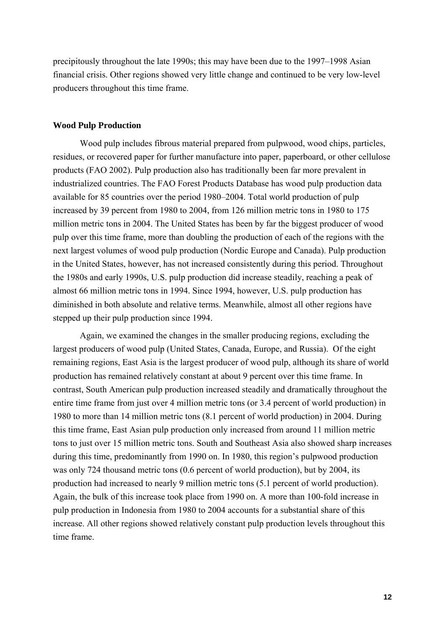precipitously throughout the late 1990s; this may have been due to the 1997–1998 Asian financial crisis. Other regions showed very little change and continued to be very low-level producers throughout this time frame.

#### **Wood Pulp Production**

Wood pulp includes fibrous material prepared from pulpwood, wood chips, particles, residues, or recovered paper for further manufacture into paper, paperboard, or other cellulose products (FAO 2002). Pulp production also has traditionally been far more prevalent in industrialized countries. The FAO Forest Products Database has wood pulp production data available for 85 countries over the period 1980–2004. Total world production of pulp increased by 39 percent from 1980 to 2004, from 126 million metric tons in 1980 to 175 million metric tons in 2004. The United States has been by far the biggest producer of wood pulp over this time frame, more than doubling the production of each of the regions with the next largest volumes of wood pulp production (Nordic Europe and Canada). Pulp production in the United States, however, has not increased consistently during this period. Throughout the 1980s and early 1990s, U.S. pulp production did increase steadily, reaching a peak of almost 66 million metric tons in 1994. Since 1994, however, U.S. pulp production has diminished in both absolute and relative terms. Meanwhile, almost all other regions have stepped up their pulp production since 1994.

Again, we examined the changes in the smaller producing regions, excluding the largest producers of wood pulp (United States, Canada, Europe, and Russia). Of the eight remaining regions, East Asia is the largest producer of wood pulp, although its share of world production has remained relatively constant at about 9 percent over this time frame. In contrast, South American pulp production increased steadily and dramatically throughout the entire time frame from just over 4 million metric tons (or 3.4 percent of world production) in 1980 to more than 14 million metric tons (8.1 percent of world production) in 2004. During this time frame, East Asian pulp production only increased from around 11 million metric tons to just over 15 million metric tons. South and Southeast Asia also showed sharp increases during this time, predominantly from 1990 on. In 1980, this region's pulpwood production was only 724 thousand metric tons (0.6 percent of world production), but by 2004, its production had increased to nearly 9 million metric tons (5.1 percent of world production). Again, the bulk of this increase took place from 1990 on. A more than 100-fold increase in pulp production in Indonesia from 1980 to 2004 accounts for a substantial share of this increase. All other regions showed relatively constant pulp production levels throughout this time frame.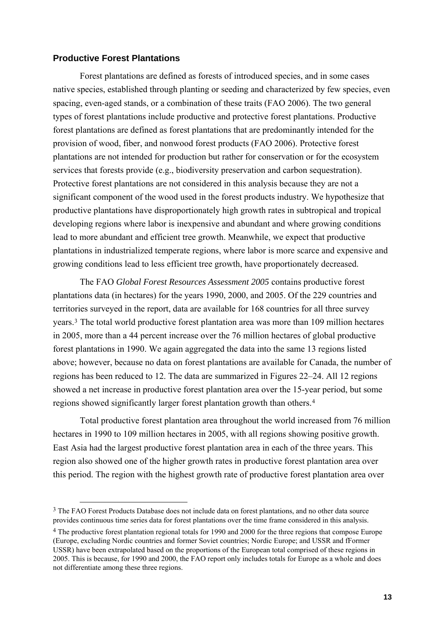## **Productive Forest Plantations**

Forest plantations are defined as forests of introduced species, and in some cases native species, established through planting or seeding and characterized by few species, even spacing, even-aged stands, or a combination of these traits (FAO 2006). The two general types of forest plantations include productive and protective forest plantations. Productive forest plantations are defined as forest plantations that are predominantly intended for the provision of wood, fiber, and nonwood forest products (FAO 2006). Protective forest plantations are not intended for production but rather for conservation or for the ecosystem services that forests provide (e.g., biodiversity preservation and carbon sequestration). Protective forest plantations are not considered in this analysis because they are not a significant component of the wood used in the forest products industry. We hypothesize that productive plantations have disproportionately high growth rates in subtropical and tropical developing regions where labor is inexpensive and abundant and where growing conditions lead to more abundant and efficient tree growth. Meanwhile, we expect that productive plantations in industrialized temperate regions, where labor is more scarce and expensive and growing conditions lead to less efficient tree growth, have proportionately decreased.

The FAO *Global Forest Resources Assessment 2005* contains productive forest plantations data (in hectares) for the years 1990, 2000, and 2005. Of the 229 countries and territories surveyed in the report, data are available for 168 countries for all three survey years.[3](#page-13-0) The total world productive forest plantation area was more than 109 million hectares in 2005, more than a 44 percent increase over the 76 million hectares of global productive forest plantations in 1990. We again aggregated the data into the same 13 regions listed above; however, because no data on forest plantations are available for Canada, the number of regions has been reduced to 12. The data are summarized in Figures 22–24. All 12 regions showed a net increase in productive forest plantation area over the 15-year period, but some regions showed significantly larger forest plantation growth than others.[4](#page-13-1)

Total productive forest plantation area throughout the world increased from 76 million hectares in 1990 to 109 million hectares in 2005, with all regions showing positive growth. East Asia had the largest productive forest plantation area in each of the three years. This region also showed one of the higher growth rates in productive forest plantation area over this period. The region with the highest growth rate of productive forest plantation area over

<span id="page-13-0"></span><sup>&</sup>lt;sup>3</sup> The FAO Forest Products Database does not include data on forest plantations, and no other data source provides continuous time series data for forest plantations over the time frame considered in this analysis.

<span id="page-13-1"></span><sup>4</sup> The productive forest plantation regional totals for 1990 and 2000 for the three regions that compose Europe (Europe, excluding Nordic countries and former Soviet countries; Nordic Europe; and USSR and fFormer USSR) have been extrapolated based on the proportions of the European total comprised of these regions in 2005. This is because, for 1990 and 2000, the FAO report only includes totals for Europe as a whole and does not differentiate among these three regions.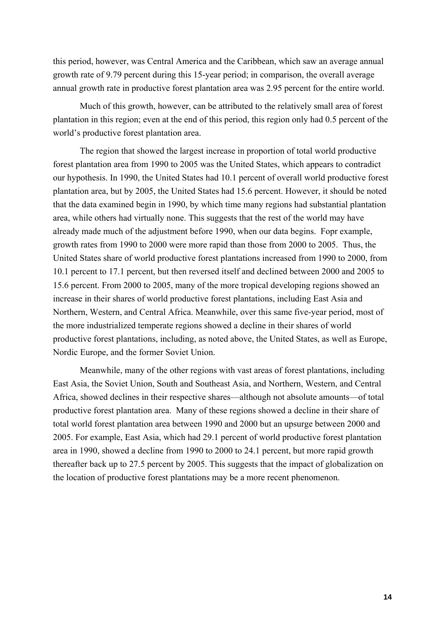this period, however, was Central America and the Caribbean, which saw an average annual growth rate of 9.79 percent during this 15-year period; in comparison, the overall average annual growth rate in productive forest plantation area was 2.95 percent for the entire world.

Much of this growth, however, can be attributed to the relatively small area of forest plantation in this region; even at the end of this period, this region only had 0.5 percent of the world's productive forest plantation area.

The region that showed the largest increase in proportion of total world productive forest plantation area from 1990 to 2005 was the United States, which appears to contradict our hypothesis. In 1990, the United States had 10.1 percent of overall world productive forest plantation area, but by 2005, the United States had 15.6 percent. However, it should be noted that the data examined begin in 1990, by which time many regions had substantial plantation area, while others had virtually none. This suggests that the rest of the world may have already made much of the adjustment before 1990, when our data begins. Fopr example, growth rates from 1990 to 2000 were more rapid than those from 2000 to 2005. Thus, the United States share of world productive forest plantations increased from 1990 to 2000, from 10.1 percent to 17.1 percent, but then reversed itself and declined between 2000 and 2005 to 15.6 percent. From 2000 to 2005, many of the more tropical developing regions showed an increase in their shares of world productive forest plantations, including East Asia and Northern, Western, and Central Africa. Meanwhile, over this same five-year period, most of the more industrialized temperate regions showed a decline in their shares of world productive forest plantations, including, as noted above, the United States, as well as Europe, Nordic Europe, and the former Soviet Union.

Meanwhile, many of the other regions with vast areas of forest plantations, including East Asia, the Soviet Union, South and Southeast Asia, and Northern, Western, and Central Africa, showed declines in their respective shares—although not absolute amounts—of total productive forest plantation area. Many of these regions showed a decline in their share of total world forest plantation area between 1990 and 2000 but an upsurge between 2000 and 2005. For example, East Asia, which had 29.1 percent of world productive forest plantation area in 1990, showed a decline from 1990 to 2000 to 24.1 percent, but more rapid growth thereafter back up to 27.5 percent by 2005. This suggests that the impact of globalization on the location of productive forest plantations may be a more recent phenomenon.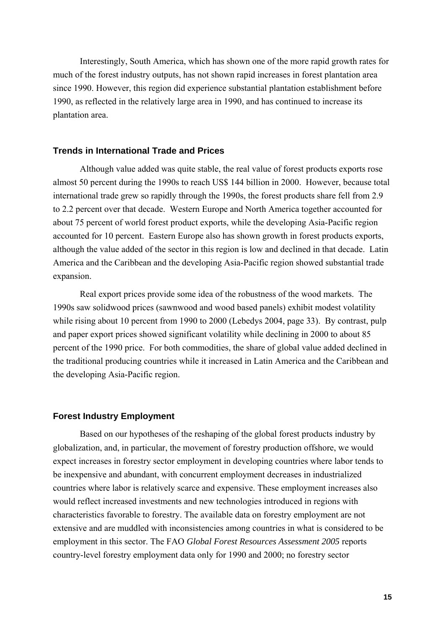Interestingly, South America, which has shown one of the more rapid growth rates for much of the forest industry outputs, has not shown rapid increases in forest plantation area since 1990. However, this region did experience substantial plantation establishment before 1990, as reflected in the relatively large area in 1990, and has continued to increase its plantation area.

## **Trends in International Trade and Prices**

Although value added was quite stable, the real value of forest products exports rose almost 50 percent during the 1990s to reach US\$ 144 billion in 2000. However, because total international trade grew so rapidly through the 1990s, the forest products share fell from 2.9 to 2.2 percent over that decade. Western Europe and North America together accounted for about 75 percent of world forest product exports, while the developing Asia-Pacific region accounted for 10 percent. Eastern Europe also has shown growth in forest products exports, although the value added of the sector in this region is low and declined in that decade. Latin America and the Caribbean and the developing Asia-Pacific region showed substantial trade expansion.

Real export prices provide some idea of the robustness of the wood markets. The 1990s saw solidwood prices (sawnwood and wood based panels) exhibit modest volatility while rising about 10 percent from 1990 to 2000 (Lebedys 2004, page 33). By contrast, pulp and paper export prices showed significant volatility while declining in 2000 to about 85 percent of the 1990 price. For both commodities, the share of global value added declined in the traditional producing countries while it increased in Latin America and the Caribbean and the developing Asia-Pacific region.

#### **Forest Industry Employment**

Based on our hypotheses of the reshaping of the global forest products industry by globalization, and, in particular, the movement of forestry production offshore, we would expect increases in forestry sector employment in developing countries where labor tends to be inexpensive and abundant, with concurrent employment decreases in industrialized countries where labor is relatively scarce and expensive. These employment increases also would reflect increased investments and new technologies introduced in regions with characteristics favorable to forestry. The available data on forestry employment are not extensive and are muddled with inconsistencies among countries in what is considered to be employment in this sector. The FAO *Global Forest Resources Assessment 2005* reports country-level forestry employment data only for 1990 and 2000; no forestry sector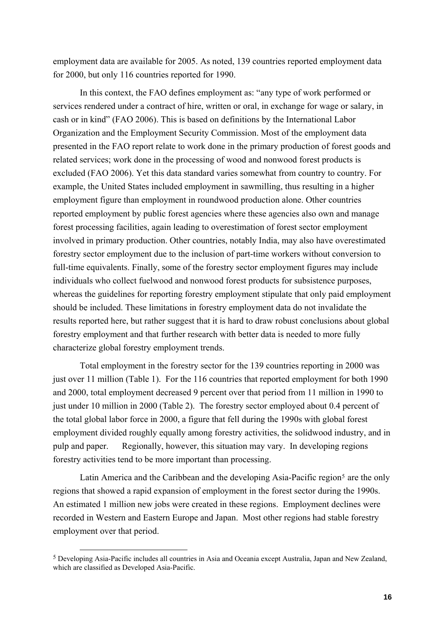employment data are available for 2005. As noted, 139 countries reported employment data for 2000, but only 116 countries reported for 1990.

In this context, the FAO defines employment as: "any type of work performed or services rendered under a contract of hire, written or oral, in exchange for wage or salary, in cash or in kind" (FAO 2006). This is based on definitions by the International Labor Organization and the Employment Security Commission. Most of the employment data presented in the FAO report relate to work done in the primary production of forest goods and related services; work done in the processing of wood and nonwood forest products is excluded (FAO 2006). Yet this data standard varies somewhat from country to country. For example, the United States included employment in sawmilling, thus resulting in a higher employment figure than employment in roundwood production alone. Other countries reported employment by public forest agencies where these agencies also own and manage forest processing facilities, again leading to overestimation of forest sector employment involved in primary production. Other countries, notably India, may also have overestimated forestry sector employment due to the inclusion of part-time workers without conversion to full-time equivalents. Finally, some of the forestry sector employment figures may include individuals who collect fuelwood and nonwood forest products for subsistence purposes, whereas the guidelines for reporting forestry employment stipulate that only paid employment should be included. These limitations in forestry employment data do not invalidate the results reported here, but rather suggest that it is hard to draw robust conclusions about global forestry employment and that further research with better data is needed to more fully characterize global forestry employment trends.

Total employment in the forestry sector for the 139 countries reporting in 2000 was just over 11 million (Table 1). For the 116 countries that reported employment for both 1990 and 2000, total employment decreased 9 percent over that period from 11 million in 1990 to just under 10 million in 2000 (Table 2). The forestry sector employed about 0.4 percent of the total global labor force in 2000, a figure that fell during the 1990s with global forest employment divided roughly equally among forestry activities, the solidwood industry, and in pulp and paper. Regionally, however, this situation may vary. In developing regions forestry activities tend to be more important than processing.

Latin America and the Caribbean and the developing Asia-Pacific region<sup>[5](#page-16-0)</sup> are the only regions that showed a rapid expansion of employment in the forest sector during the 1990s. An estimated 1 million new jobs were created in these regions. Employment declines were recorded in Western and Eastern Europe and Japan. Most other regions had stable forestry employment over that period.

<span id="page-16-0"></span> <sup>5</sup> Developing Asia-Pacific includes all countries in Asia and Oceania except Australia, Japan and New Zealand, which are classified as Developed Asia-Pacific.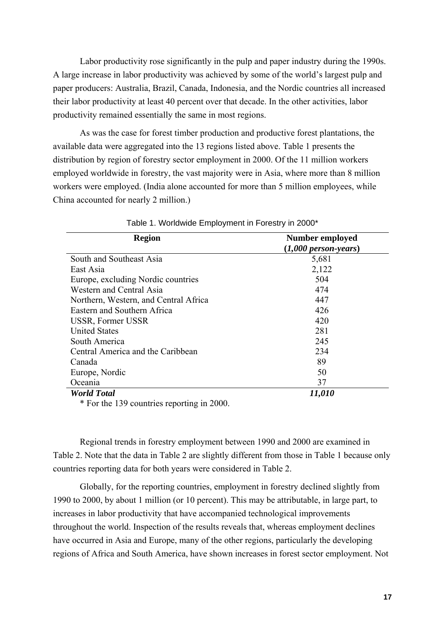Labor productivity rose significantly in the pulp and paper industry during the 1990s. A large increase in labor productivity was achieved by some of the world's largest pulp and paper producers: Australia, Brazil, Canada, Indonesia, and the Nordic countries all increased their labor productivity at least 40 percent over that decade. In the other activities, labor productivity remained essentially the same in most regions.

As was the case for forest timber production and productive forest plantations, the available data were aggregated into the 13 regions listed above. Table 1 presents the distribution by region of forestry sector employment in 2000. Of the 11 million workers employed worldwide in forestry, the vast majority were in Asia, where more than 8 million workers were employed. (India alone accounted for more than 5 million employees, while China accounted for nearly 2 million.)

| <b>Region</b>                         | <b>Number employed</b> |  |
|---------------------------------------|------------------------|--|
|                                       | $(1,000$ person-years) |  |
| South and Southeast Asia              | 5,681                  |  |
| East Asia                             | 2,122                  |  |
| Europe, excluding Nordic countries    | 504                    |  |
| Western and Central Asia              | 474                    |  |
| Northern, Western, and Central Africa | 447                    |  |
| Eastern and Southern Africa           | 426                    |  |
| USSR, Former USSR                     | 420                    |  |
| <b>United States</b>                  | 281                    |  |
| South America                         | 245                    |  |
| Central America and the Caribbean     | 234                    |  |
| Canada                                | 89                     |  |
| Europe, Nordic                        | 50                     |  |
| Oceania                               | 37                     |  |
| <b>World Total</b>                    | 11,010                 |  |

Table 1. Worldwide Employment in Forestry in 2000\*

\* For the 139 countries reporting in 2000.

Regional trends in forestry employment between 1990 and 2000 are examined in Table 2. Note that the data in Table 2 are slightly different from those in Table 1 because only countries reporting data for both years were considered in Table 2.

Globally, for the reporting countries, employment in forestry declined slightly from 1990 to 2000, by about 1 million (or 10 percent). This may be attributable, in large part, to increases in labor productivity that have accompanied technological improvements throughout the world. Inspection of the results reveals that, whereas employment declines have occurred in Asia and Europe, many of the other regions, particularly the developing regions of Africa and South America, have shown increases in forest sector employment. Not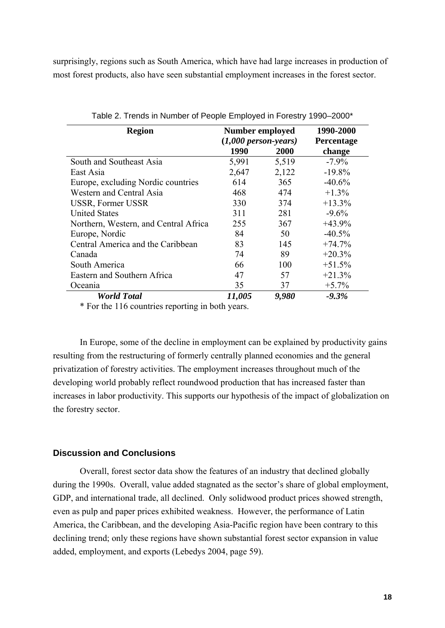surprisingly, regions such as South America, which have had large increases in production of most forest products, also have seen substantial employment increases in the forest sector.

| <b>Region</b>                         | <b>Number employed</b> |       | 1990-2000  |
|---------------------------------------|------------------------|-------|------------|
|                                       | $(1,000$ person-years) |       | Percentage |
|                                       | 1990                   | 2000  | change     |
| South and Southeast Asia              | 5,991                  | 5,519 | $-7.9\%$   |
| East Asia                             | 2,647                  | 2,122 | $-19.8%$   |
| Europe, excluding Nordic countries    | 614                    | 365   | $-40.6%$   |
| Western and Central Asia              | 468                    | 474   | $+1.3%$    |
| USSR, Former USSR                     | 330                    | 374   | $+13.3%$   |
| <b>United States</b>                  | 311                    | 281   | $-9.6\%$   |
| Northern, Western, and Central Africa | 255                    | 367   | $+43.9%$   |
| Europe, Nordic                        | 84                     | 50    | $-40.5%$   |
| Central America and the Caribbean     | 83                     | 145   | $+74.7%$   |
| Canada                                | 74                     | 89    | $+20.3%$   |
| South America                         | 66                     | 100   | $+51.5%$   |
| Eastern and Southern Africa           | 47                     | 57    | $+21.3%$   |
| Oceania                               | 35                     | 37    | $+5.7%$    |
| <b>World Total</b>                    | 11,005                 | 9,980 | $-9.3%$    |

Table 2. Trends in Number of People Employed in Forestry 1990–2000\*

\* For the 116 countries reporting in both years.

In Europe, some of the decline in employment can be explained by productivity gains resulting from the restructuring of formerly centrally planned economies and the general privatization of forestry activities. The employment increases throughout much of the developing world probably reflect roundwood production that has increased faster than increases in labor productivity. This supports our hypothesis of the impact of globalization on the forestry sector.

## **Discussion and Conclusions**

Overall, forest sector data show the features of an industry that declined globally during the 1990s. Overall, value added stagnated as the sector's share of global employment, GDP, and international trade, all declined. Only solidwood product prices showed strength, even as pulp and paper prices exhibited weakness. However, the performance of Latin America, the Caribbean, and the developing Asia-Pacific region have been contrary to this declining trend; only these regions have shown substantial forest sector expansion in value added, employment, and exports (Lebedys 2004, page 59).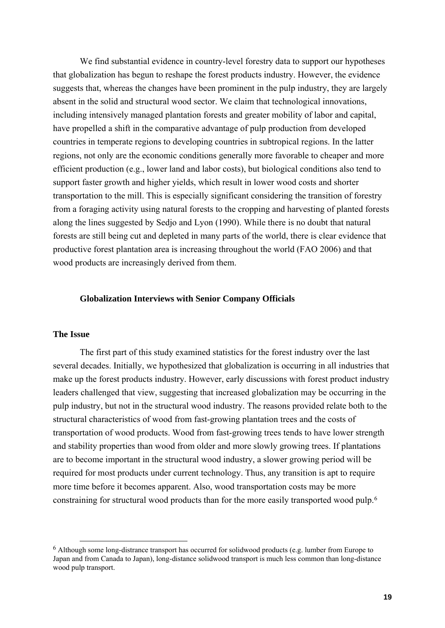We find substantial evidence in country-level forestry data to support our hypotheses that globalization has begun to reshape the forest products industry. However, the evidence suggests that, whereas the changes have been prominent in the pulp industry, they are largely absent in the solid and structural wood sector. We claim that technological innovations, including intensively managed plantation forests and greater mobility of labor and capital, have propelled a shift in the comparative advantage of pulp production from developed countries in temperate regions to developing countries in subtropical regions. In the latter regions, not only are the economic conditions generally more favorable to cheaper and more efficient production (e.g., lower land and labor costs), but biological conditions also tend to support faster growth and higher yields, which result in lower wood costs and shorter transportation to the mill. This is especially significant considering the transition of forestry from a foraging activity using natural forests to the cropping and harvesting of planted forests along the lines suggested by Sedjo and Lyon (1990). While there is no doubt that natural forests are still being cut and depleted in many parts of the world, there is clear evidence that productive forest plantation area is increasing throughout the world (FAO 2006) and that wood products are increasingly derived from them.

## **Globalization Interviews with Senior Company Officials**

#### **The Issue**

The first part of this study examined statistics for the forest industry over the last several decades. Initially, we hypothesized that globalization is occurring in all industries that make up the forest products industry. However, early discussions with forest product industry leaders challenged that view, suggesting that increased globalization may be occurring in the pulp industry, but not in the structural wood industry. The reasons provided relate both to the structural characteristics of wood from fast-growing plantation trees and the costs of transportation of wood products. Wood from fast-growing trees tends to have lower strength and stability properties than wood from older and more slowly growing trees. If plantations are to become important in the structural wood industry, a slower growing period will be required for most products under current technology. Thus, any transition is apt to require more time before it becomes apparent. Also, wood transportation costs may be more constraining for structural wood products than for the more easily transported wood pulp.[6](#page-19-0)

<span id="page-19-0"></span> <sup>6</sup> Although some long-distrance transport has occurred for solidwood products (e.g. lumber from Europe to Japan and from Canada to Japan), long-distance solidwood transport is much less common than long-distance wood pulp transport.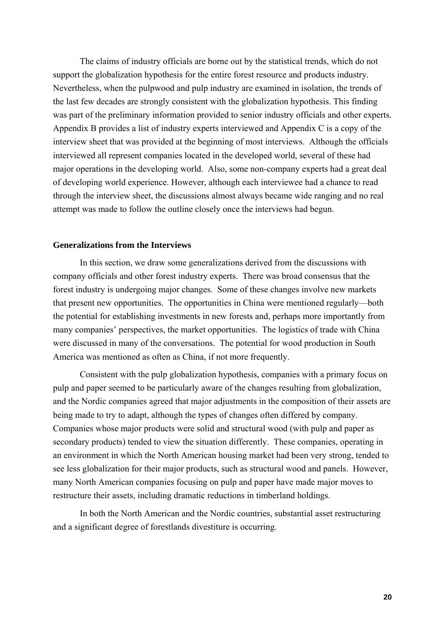The claims of industry officials are borne out by the statistical trends, which do not support the globalization hypothesis for the entire forest resource and products industry. Nevertheless, when the pulpwood and pulp industry are examined in isolation, the trends of the last few decades are strongly consistent with the globalization hypothesis. This finding was part of the preliminary information provided to senior industry officials and other experts. Appendix B provides a list of industry experts interviewed and Appendix C is a copy of the interview sheet that was provided at the beginning of most interviews. Although the officials interviewed all represent companies located in the developed world, several of these had major operations in the developing world. Also, some non-company experts had a great deal of developing world experience. However, although each interviewee had a chance to read through the interview sheet, the discussions almost always became wide ranging and no real attempt was made to follow the outline closely once the interviews had begun.

#### **Generalizations from the Interviews**

In this section, we draw some generalizations derived from the discussions with company officials and other forest industry experts. There was broad consensus that the forest industry is undergoing major changes. Some of these changes involve new markets that present new opportunities. The opportunities in China were mentioned regularly—both the potential for establishing investments in new forests and, perhaps more importantly from many companies' perspectives, the market opportunities. The logistics of trade with China were discussed in many of the conversations. The potential for wood production in South America was mentioned as often as China, if not more frequently.

Consistent with the pulp globalization hypothesis, companies with a primary focus on pulp and paper seemed to be particularly aware of the changes resulting from globalization, and the Nordic companies agreed that major adjustments in the composition of their assets are being made to try to adapt, although the types of changes often differed by company. Companies whose major products were solid and structural wood (with pulp and paper as secondary products) tended to view the situation differently. These companies, operating in an environment in which the North American housing market had been very strong, tended to see less globalization for their major products, such as structural wood and panels. However, many North American companies focusing on pulp and paper have made major moves to restructure their assets, including dramatic reductions in timberland holdings.

In both the North American and the Nordic countries, substantial asset restructuring and a significant degree of forestlands divestiture is occurring.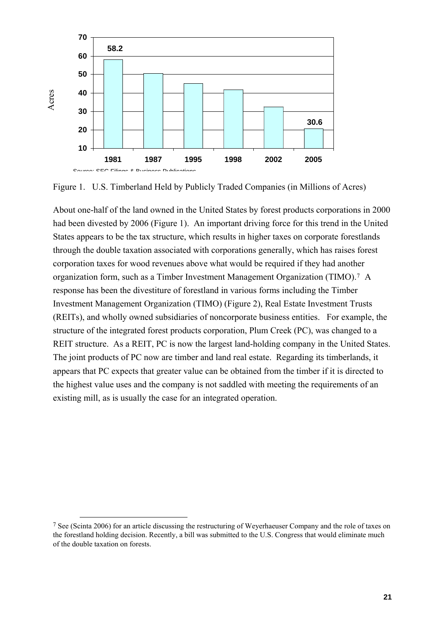

Figure 1. U.S. Timberland Held by Publicly Traded Companies (in Millions of Acres)

About one-half of the land owned in the United States by forest products corporations in 2000 had been divested by 2006 (Figure 1). An important driving force for this trend in the United States appears to be the tax structure, which results in higher taxes on corporate forestlands through the double taxation associated with corporations generally, which has raises forest corporation taxes for wood revenues above what would be required if they had another organization form, such as a Timber Investment Management Organization (TIMO).[7](#page-21-0) A response has been the divestiture of forestland in various forms including the Timber Investment Management Organization (TIMO) (Figure 2), Real Estate Investment Trusts (REITs), and wholly owned subsidiaries of noncorporate business entities. For example, the structure of the integrated forest products corporation, Plum Creek (PC), was changed to a REIT structure. As a REIT, PC is now the largest land-holding company in the United States. The joint products of PC now are timber and land real estate. Regarding its timberlands, it appears that PC expects that greater value can be obtained from the timber if it is directed to the highest value uses and the company is not saddled with meeting the requirements of an existing mill, as is usually the case for an integrated operation.

<span id="page-21-0"></span> <sup>7</sup> See (Scinta 2006) for an article discussing the restructuring of Weyerhaeuser Company and the role of taxes on the forestland holding decision. Recently, a bill was submitted to the U.S. Congress that would eliminate much of the double taxation on forests.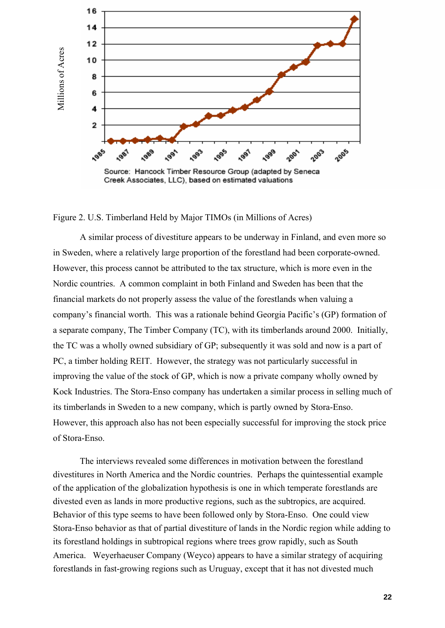

#### Figure 2. U.S. Timberland Held by Major TIMOs (in Millions of Acres)

A similar process of divestiture appears to be underway in Finland, and even more so in Sweden, where a relatively large proportion of the forestland had been corporate-owned. However, this process cannot be attributed to the tax structure, which is more even in the Nordic countries. A common complaint in both Finland and Sweden has been that the financial markets do not properly assess the value of the forestlands when valuing a company's financial worth. This was a rationale behind Georgia Pacific's (GP) formation of a separate company, The Timber Company (TC), with its timberlands around 2000. Initially, the TC was a wholly owned subsidiary of GP; subsequently it was sold and now is a part of PC, a timber holding REIT. However, the strategy was not particularly successful in improving the value of the stock of GP, which is now a private company wholly owned by Kock Industries. The Stora-Enso company has undertaken a similar process in selling much of its timberlands in Sweden to a new company, which is partly owned by Stora-Enso. However, this approach also has not been especially successful for improving the stock price of Stora-Enso.

The interviews revealed some differences in motivation between the forestland divestitures in North America and the Nordic countries. Perhaps the quintessential example of the application of the globalization hypothesis is one in which temperate forestlands are divested even as lands in more productive regions, such as the subtropics, are acquired. Behavior of this type seems to have been followed only by Stora-Enso. One could view Stora-Enso behavior as that of partial divestiture of lands in the Nordic region while adding to its forestland holdings in subtropical regions where trees grow rapidly, such as South America. Weyerhaeuser Company (Weyco) appears to have a similar strategy of acquiring forestlands in fast-growing regions such as Uruguay, except that it has not divested much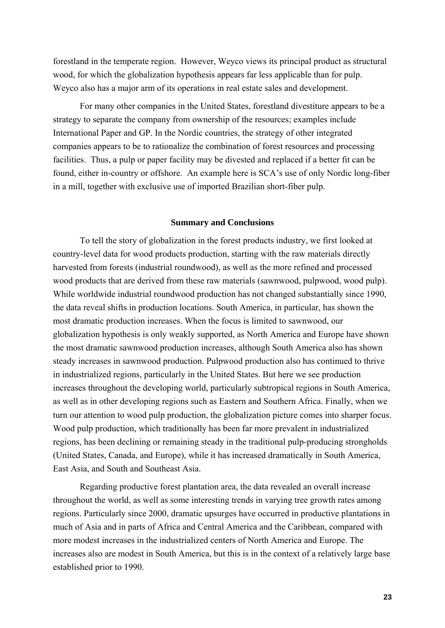forestland in the temperate region. However, Weyco views its principal product as structural wood, for which the globalization hypothesis appears far less applicable than for pulp. Weyco also has a major arm of its operations in real estate sales and development.

For many other companies in the United States, forestland divestiture appears to be a strategy to separate the company from ownership of the resources; examples include International Paper and GP. In the Nordic countries, the strategy of other integrated companies appears to be to rationalize the combination of forest resources and processing facilities. Thus, a pulp or paper facility may be divested and replaced if a better fit can be found, either in-country or offshore. An example here is SCA's use of only Nordic long-fiber in a mill, together with exclusive use of imported Brazilian short-fiber pulp.

#### **Summary and Conclusions**

To tell the story of globalization in the forest products industry, we first looked at country-level data for wood products production, starting with the raw materials directly harvested from forests (industrial roundwood), as well as the more refined and processed wood products that are derived from these raw materials (sawnwood, pulpwood, wood pulp). While worldwide industrial roundwood production has not changed substantially since 1990, the data reveal shifts in production locations. South America, in particular, has shown the most dramatic production increases. When the focus is limited to sawnwood, our globalization hypothesis is only weakly supported, as North America and Europe have shown the most dramatic sawnwood production increases, although South America also has shown steady increases in sawnwood production. Pulpwood production also has continued to thrive in industrialized regions, particularly in the United States. But here we see production increases throughout the developing world, particularly subtropical regions in South America, as well as in other developing regions such as Eastern and Southern Africa. Finally, when we turn our attention to wood pulp production, the globalization picture comes into sharper focus. Wood pulp production, which traditionally has been far more prevalent in industrialized regions, has been declining or remaining steady in the traditional pulp-producing strongholds (United States, Canada, and Europe), while it has increased dramatically in South America, East Asia, and South and Southeast Asia.

Regarding productive forest plantation area, the data revealed an overall increase throughout the world, as well as some interesting trends in varying tree growth rates among regions. Particularly since 2000, dramatic upsurges have occurred in productive plantations in much of Asia and in parts of Africa and Central America and the Caribbean, compared with more modest increases in the industrialized centers of North America and Europe. The increases also are modest in South America, but this is in the context of a relatively large base established prior to 1990.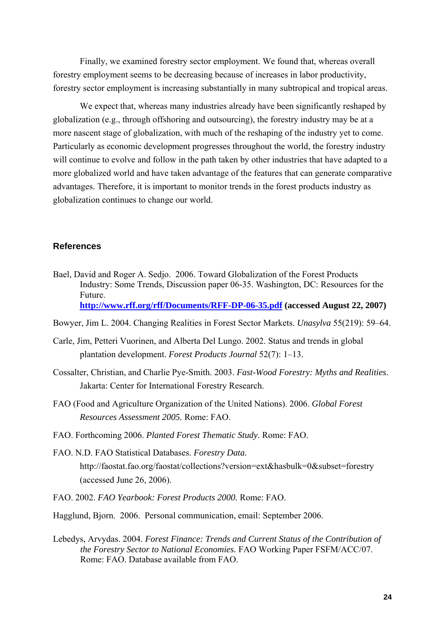Finally, we examined forestry sector employment. We found that, whereas overall forestry employment seems to be decreasing because of increases in labor productivity, forestry sector employment is increasing substantially in many subtropical and tropical areas.

We expect that, whereas many industries already have been significantly reshaped by globalization (e.g., through offshoring and outsourcing), the forestry industry may be at a more nascent stage of globalization, with much of the reshaping of the industry yet to come. Particularly as economic development progresses throughout the world, the forestry industry will continue to evolve and follow in the path taken by other industries that have adapted to a more globalized world and have taken advantage of the features that can generate comparative advantages. Therefore, it is important to monitor trends in the forest products industry as globalization continues to change our world.

## **References**

- Bael, David and Roger A. Sedjo. 2006. Toward Globalization of the Forest Products Industry: Some Trends, Discussion paper 06-35. Washington, DC: Resources for the Future. **<http://www.rff.org/rff/Documents/RFF-DP-06-35.pdf>(accessed August 22, 2007)**
- Bowyer, Jim L. 2004. Changing Realities in Forest Sector Markets. *Unasylva* 55(219): 59–64.
- Carle, Jim, Petteri Vuorinen, and Alberta Del Lungo. 2002. Status and trends in global plantation development. *Forest Products Journal* 52(7): 1–13.
- Cossalter, Christian, and Charlie Pye-Smith. 2003. *Fast-Wood Forestry: Myths and Realities*. Jakarta: Center for International Forestry Research.
- FAO (Food and Agriculture Organization of the United Nations). 2006. *Global Forest Resources Assessment 2005.* Rome: FAO.
- FAO. Forthcoming 2006. *Planted Forest Thematic Study*. Rome: FAO.
- FAO. N.D. FAO Statistical Databases. *Forestry Data.* http://faostat.fao.org/faostat/collections?version=ext&hasbulk=0&subset=forestry (accessed June 26, 2006).
- FAO. 2002. *FAO Yearbook: Forest Products 2000.* Rome: FAO.
- Hagglund, Bjorn. 2006. Personal communication, email: September 2006.
- Lebedys, Arvydas. 2004. *Forest Finance: Trends and Current Status of the Contribution of the Forestry Sector to National Economies.* FAO Working Paper FSFM/ACC/07. Rome: FAO. Database available from FAO.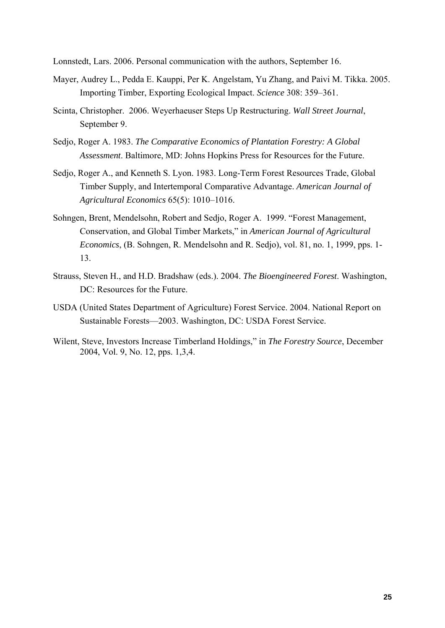Lonnstedt, Lars. 2006. Personal communication with the authors, September 16.

- Mayer, Audrey L., Pedda E. Kauppi, Per K. Angelstam, Yu Zhang, and Paivi M. Tikka. 2005. Importing Timber, Exporting Ecological Impact. *Science* 308: 359–361.
- Scinta, Christopher. 2006. Weyerhaeuser Steps Up Restructuring. *Wall Street Journal*, September 9.
- Sedjo, Roger A. 1983. *The Comparative Economics of Plantation Forestry: A Global Assessment*. Baltimore, MD: Johns Hopkins Press for Resources for the Future.
- Sedjo, Roger A., and Kenneth S. Lyon. 1983. Long-Term Forest Resources Trade, Global Timber Supply, and Intertemporal Comparative Advantage. *American Journal of Agricultural Economics* 65(5): 1010–1016.
- Sohngen, Brent, Mendelsohn, Robert and Sedjo, Roger A. 1999. "Forest Management, Conservation, and Global Timber Markets," in *American Journal of Agricultural Economics*, (B. Sohngen, R. Mendelsohn and R. Sedjo), vol. 81, no. 1, 1999, pps. 1- 13.
- Strauss, Steven H., and H.D. Bradshaw (eds.). 2004. *The Bioengineered Forest*. Washington, DC: Resources for the Future.
- USDA (United States Department of Agriculture) Forest Service. 2004. National Report on Sustainable Forests—2003. Washington, DC: USDA Forest Service.
- Wilent, Steve, Investors Increase Timberland Holdings," in *The Forestry Source*, December 2004, Vol. 9, No. 12, pps. 1,3,4.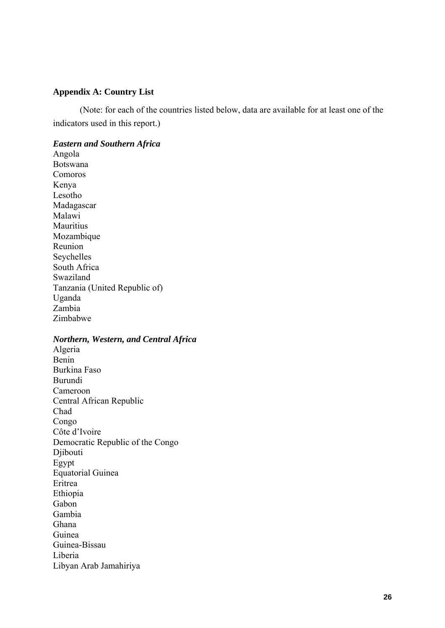## **Appendix A: Country List**

(Note: for each of the countries listed below, data are available for at least one of the indicators used in this report.)

#### *Eastern and Southern Africa*

Angola Botswana Comoros Kenya Lesotho Madagascar Malawi Mauritius Mozambique Reunion Seychelles South Africa Swaziland Tanzania (United Republic of) Uganda Zambia Zimbabwe

## *Northern, Western, and Central Africa*

Algeria Benin Burkina Faso Burundi Cameroon Central African Republic Chad Congo Côte d'Ivoire Democratic Republic of the Congo Djibouti Egypt Equatorial Guinea Eritrea Ethiopia Gabon Gambia Ghana Guinea Guinea-Bissau Liberia Libyan Arab Jamahiriya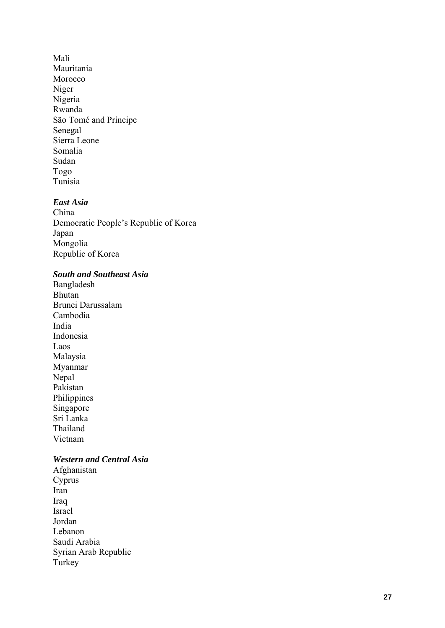Mali Mauritania Morocco Niger Nigeria Rwanda São Tomé and Príncipe Senegal Sierra Leone Somalia Sudan Togo Tunisia

## *East Asia*

China Democratic People's Republic of Korea Japan Mongolia Republic of Korea

## *South and Southeast Asia*

Bangladesh Bhutan Brunei Darussalam Cambodia India Indonesia Laos Malaysia Myanmar Nepal Pakistan Philippines Singapore Sri Lanka Thailand Vietnam

## *Western and Central Asia*

Afghanistan Cyprus Iran Iraq Israel Jordan Lebanon Saudi Arabia Syrian Arab Republic Turkey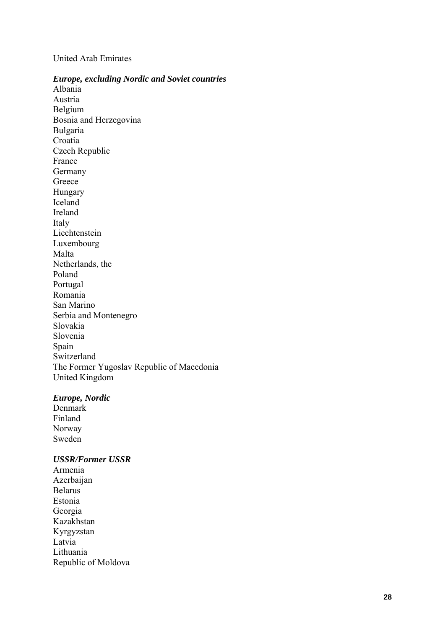## United Arab Emirates

#### *Europe, excluding Nordic and Soviet countries*

Albania Austria Belgium Bosnia and Herzegovina Bulgaria Croatia Czech Republic France Germany Greece Hungary Iceland Ireland Italy Liechtenstein Luxembourg Malta Netherlands, the Poland Portugal Romania San Marino Serbia and Montenegro Slovakia Slovenia Spain Switzerland The Former Yugoslav Republic of Macedonia United Kingdom

## *Europe, Nordic*

Denmark Finland Norway Sweden

#### *USSR/Former USSR*

Armenia Azerbaijan Belarus Estonia Georgia Kazakhstan Kyrgyzstan Latvia Lithuania Republic of Moldova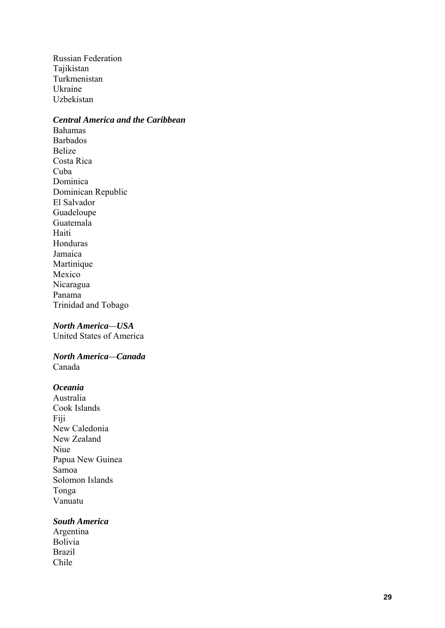Russian Federation Tajikistan Turkmenistan Ukraine Uzbekistan

## *Central America and the Caribbean*

Bahamas Barbados Belize Costa Rica Cuba Dominica Dominican Republic El Salvador Guadeloupe Guatemala Haiti Honduras Jamaica Martinique Mexico Nicaragua Panama Trinidad and Tobago

#### *North America —USA*

United States of America

#### *North America —Canada*  Canada

## *Oceania*

Australia Cook Islands Fiji New Caledonia New Zealand Niue Papua New Guinea Samoa Solomon Islands Tonga Vanuatu

## *South America*

Argentina Bolivia Brazil Chile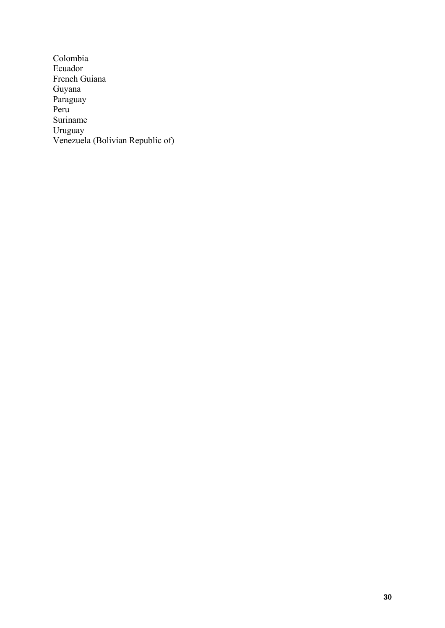Colombia Ecuador French Guiana Guyana Paraguay Peru Suriname Uruguay Venezuela (Bolivian Republic of)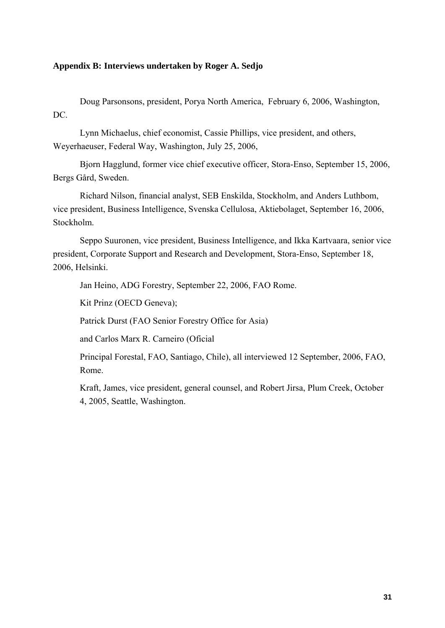## **Appendix B: Interviews undertaken by Roger A. Sedjo**

Doug Parsonsons, president, Porya North America, February 6, 2006, Washington, D<sub>C</sub>.

Lynn Michaelus, chief economist, Cassie Phillips, vice president, and others, Weyerhaeuser, Federal Way, Washington, July 25, 2006,

Bjorn Hagglund, former vice chief executive officer, Stora-Enso, September 15, 2006, Bergs Gård, Sweden.

Richard Nilson, financial analyst, SEB Enskilda, Stockholm, and Anders Luthbom, vice president, Business Intelligence, Svenska Cellulosa, Aktiebolaget, September 16, 2006, Stockholm.

Seppo Suuronen, vice president, Business Intelligence, and Ikka Kartvaara, senior vice president, Corporate Support and Research and Development, Stora-Enso, September 18, 2006, Helsinki.

Jan Heino, ADG Forestry, September 22, 2006, FAO Rome.

Kit Prinz (OECD Geneva);

Patrick Durst (FAO Senior Forestry Office for Asia)

and Carlos Marx R. Carneiro (Oficial

Principal Forestal, FAO, Santiago, Chile), all interviewed 12 September, 2006, FAO, Rome.

Kraft, James, vice president, general counsel, and Robert Jirsa, Plum Creek, October 4, 2005, Seattle, Washington.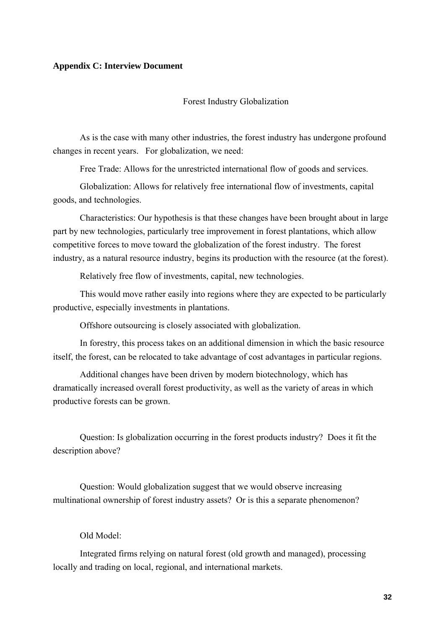#### **Appendix C: Interview Document**

#### Forest Industry Globalization

As is the case with many other industries, the forest industry has undergone profound changes in recent years. For globalization, we need:

Free Trade: Allows for the unrestricted international flow of goods and services.

Globalization: Allows for relatively free international flow of investments, capital goods, and technologies.

Characteristics: Our hypothesis is that these changes have been brought about in large part by new technologies, particularly tree improvement in forest plantations, which allow competitive forces to move toward the globalization of the forest industry. The forest industry, as a natural resource industry, begins its production with the resource (at the forest).

Relatively free flow of investments, capital, new technologies.

This would move rather easily into regions where they are expected to be particularly productive, especially investments in plantations.

Offshore outsourcing is closely associated with globalization.

In forestry, this process takes on an additional dimension in which the basic resource itself, the forest, can be relocated to take advantage of cost advantages in particular regions.

Additional changes have been driven by modern biotechnology, which has dramatically increased overall forest productivity, as well as the variety of areas in which productive forests can be grown.

Question: Is globalization occurring in the forest products industry? Does it fit the description above?

Question: Would globalization suggest that we would observe increasing multinational ownership of forest industry assets? Or is this a separate phenomenon?

## Old Model:

Integrated firms relying on natural forest (old growth and managed), processing locally and trading on local, regional, and international markets.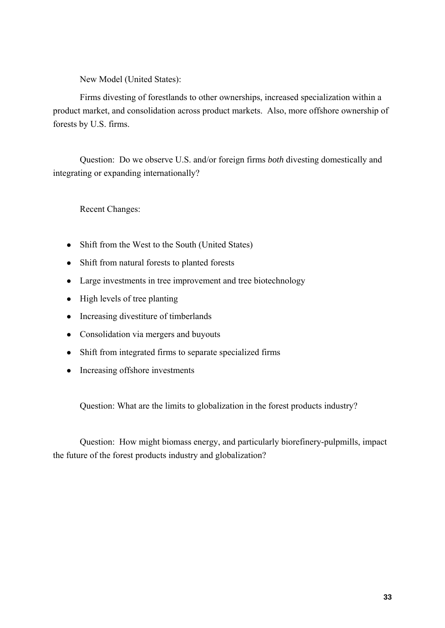New Model (United States):

Firms divesting of forestlands to other ownerships, increased specialization within a product market, and consolidation across product markets. Also, more offshore ownership of forests by U.S. firms.

Question: Do we observe U.S. and/or foreign firms *both* divesting domestically and integrating or expanding internationally?

Recent Changes:

- Shift from the West to the South (United States)
- Shift from natural forests to planted forests
- Large investments in tree improvement and tree biotechnology
- $\bullet$  High levels of tree planting
- Increasing divestiture of timberlands
- Consolidation via mergers and buyouts
- Shift from integrated firms to separate specialized firms
- Increasing offshore investments

Question: What are the limits to globalization in the forest products industry?

Question: How might biomass energy, and particularly biorefinery-pulpmills, impact the future of the forest products industry and globalization?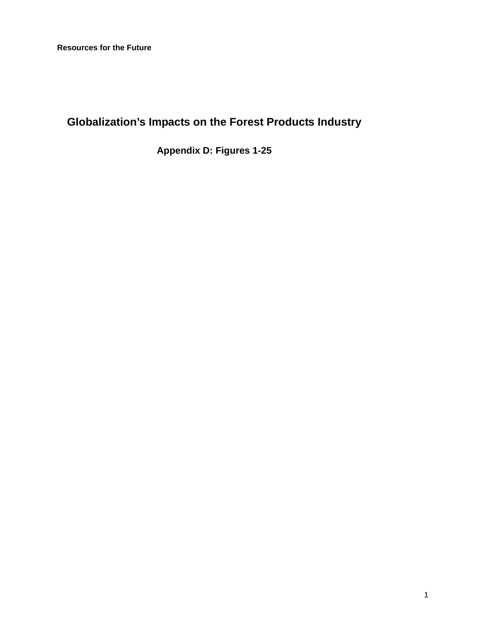# **Globalization's Impacts on the Forest Products Industry**

**Appendix D: Figures 1-25**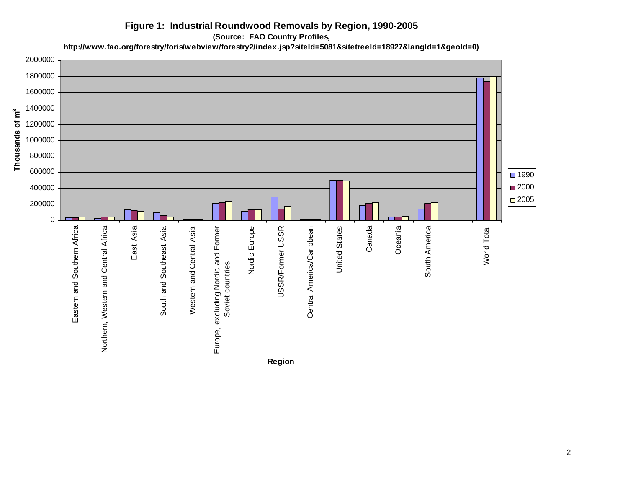## **Figure 1: Industrial Roundwood Removals by Region, 1990-2005**

**(Source: FAO Country Profiles,** 

**http://www.fao.org/forestry/foris/webview/forestry2/index.jsp?siteId=5081&sitetreeId=18927&langId=1&geoId=0)**

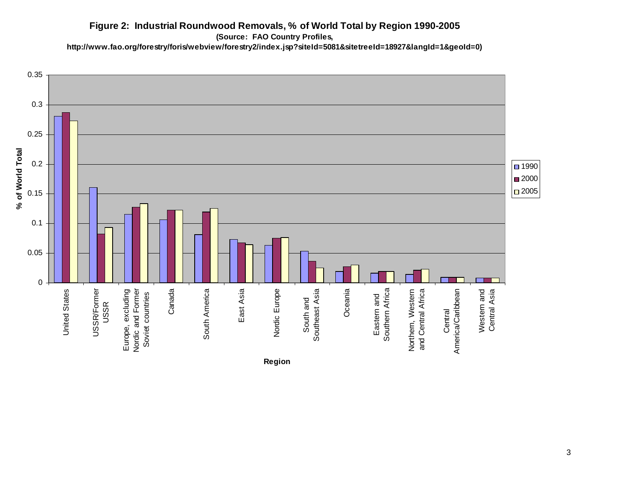## **Figure 2: Industrial Roundwood Removals, % of World Total by Region 1990-2005**

**(Source: FAO Country Profiles,** 

**http://www.fao.org/forestry/foris/webview/forestry2/index.jsp?siteId=5081&sitetreeId=18927&langId=1&geoId=0)**

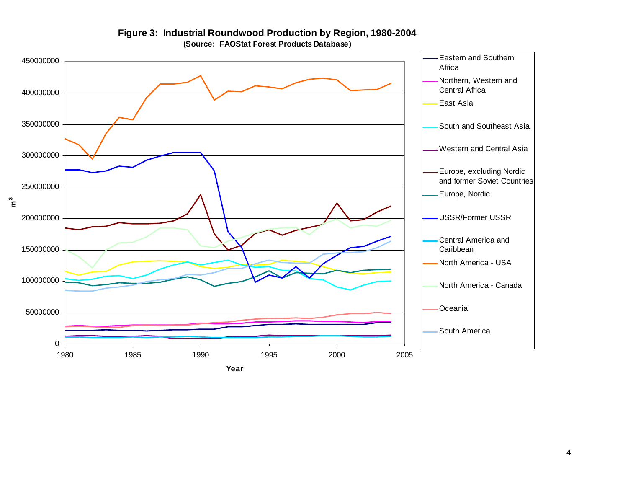

**Figure 3: Industrial Roundwood Production by Region, 1980-2004 (Source: FAOStat Forest Products Database)**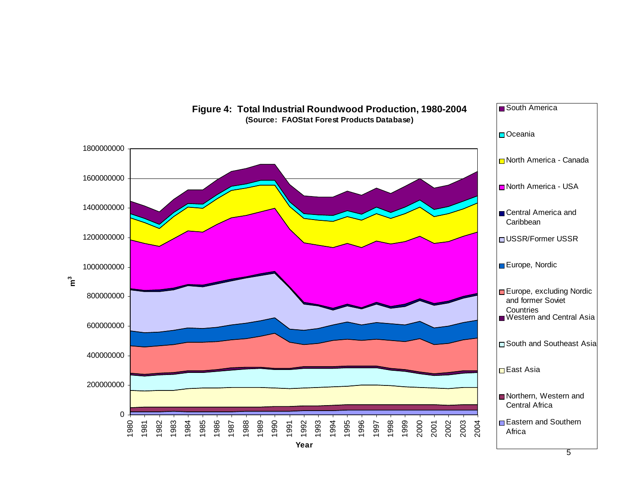

#### **Figure 4: Total Industrial Roundwood Production, 1980-2004 (Source: FAOStat Forest Products Database)**

South America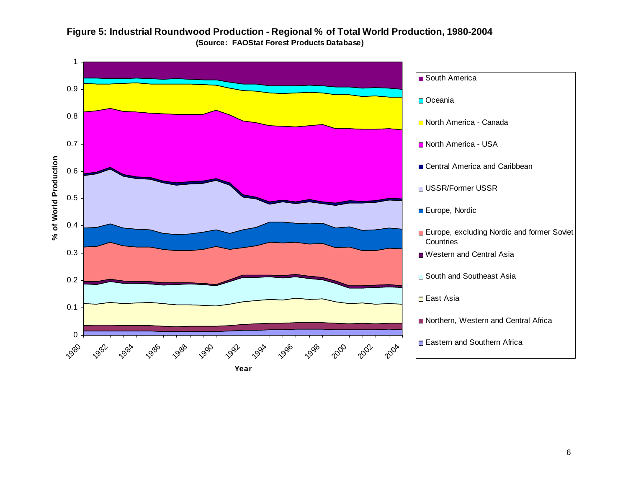

## **Figure 5: Industrial Roundwood Production - Regional % of Total World Production, 1980-2004 (Source: FAOStat Forest Products Database)**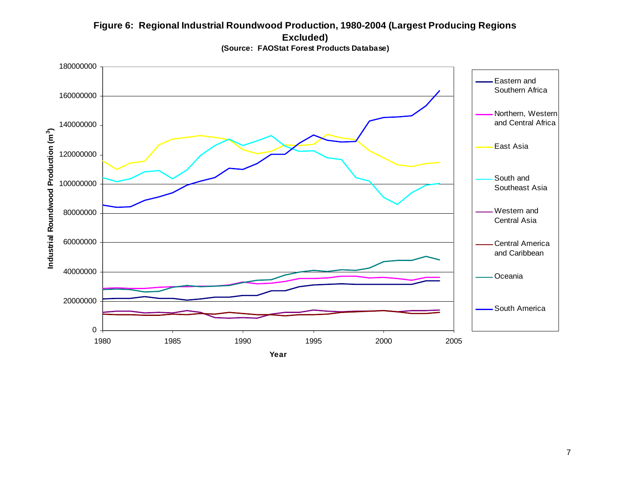## **Figure 6: Regional Industrial Roundwood Production, 1980-2004 (Largest Producing Regions Excluded)**



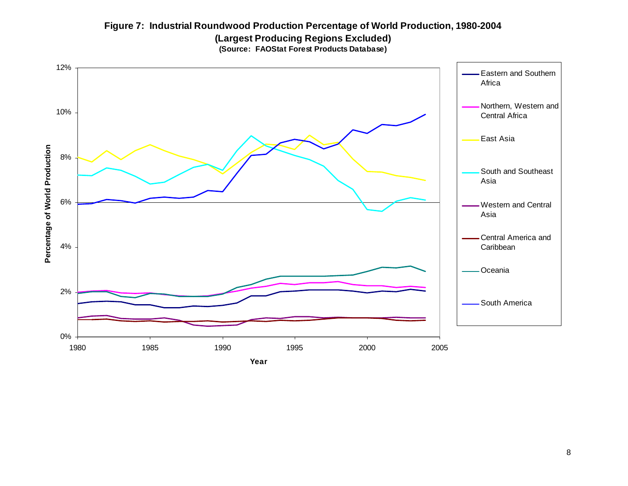## **Figure 7: Industrial Roundwood Production Percentage of World Production, 1980-2004 (Largest Producing Regions Excluded) (Source: FAOStat Forest Products Database)**

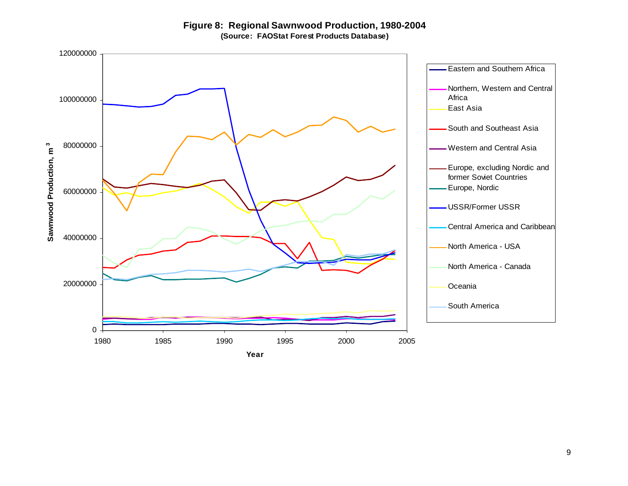**Figure 8: Regional Sawnwood Production, 1980-2004 (Source: FAOStat Forest Products Database)**

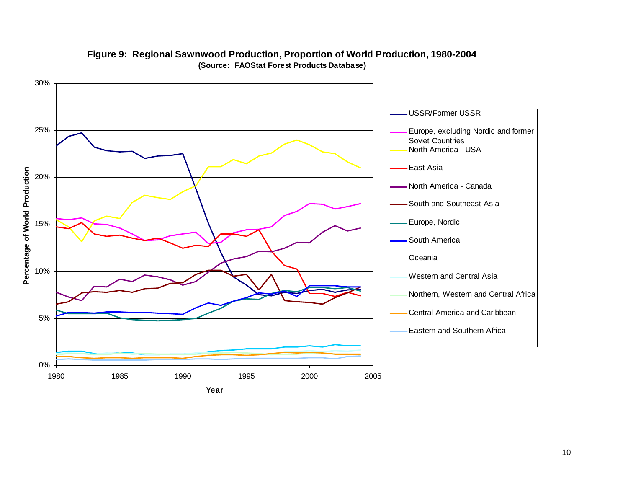

## **Figure 9: Regional Sawnwood Production, Proportion of World Production, 1980-2004 (Source: FAOStat Forest Products Database)**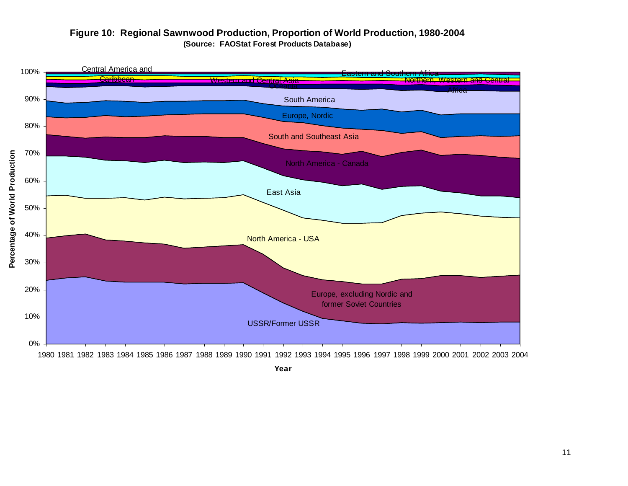## **Figure 10: Regional Sawnwood Production, Proportion of World Production, 1980-2004 (Source: FAOStat Forest Products Database)**

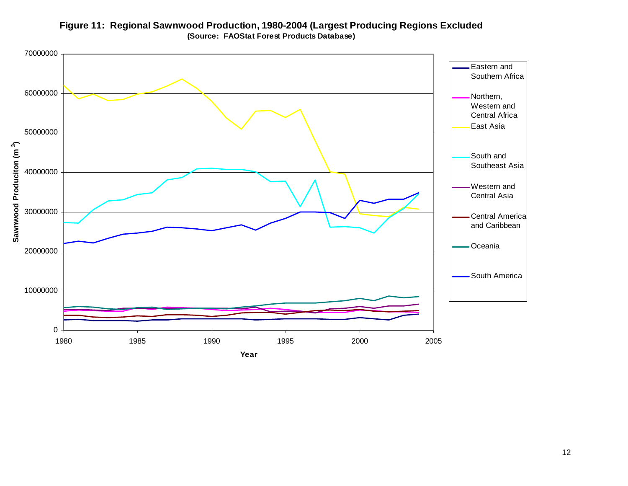

**Figure 11: Regional Sawnwood Production, 1980-2004 (Largest Producing Regions Excluded (Source: FAOStat Forest Products Database)**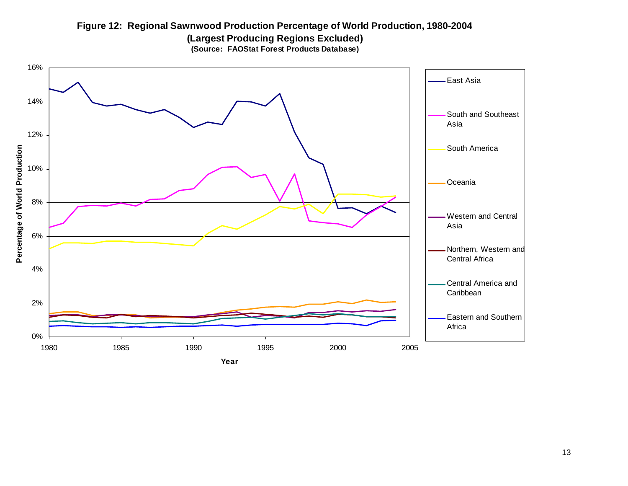## **Figure 12: Regional Sawnwood Production Percentage of World Production, 1980-2004 (Largest Producing Regions Excluded) (Source: FAOStat Forest Products Database)**

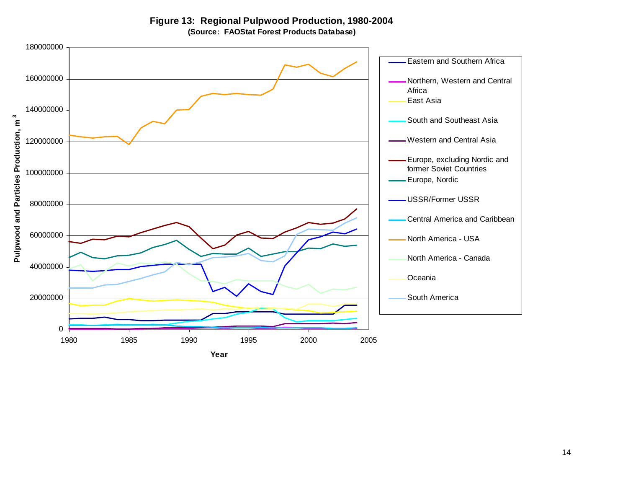**Figure 13: Regional Pulpwood Production, 1980-2004 (Source: FAOStat Forest Products Database)**

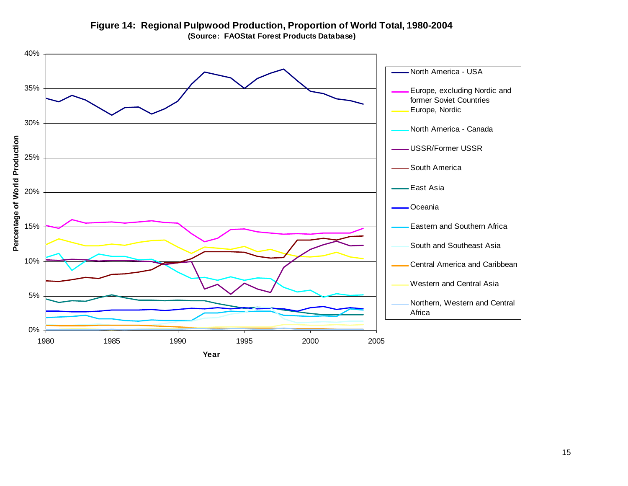

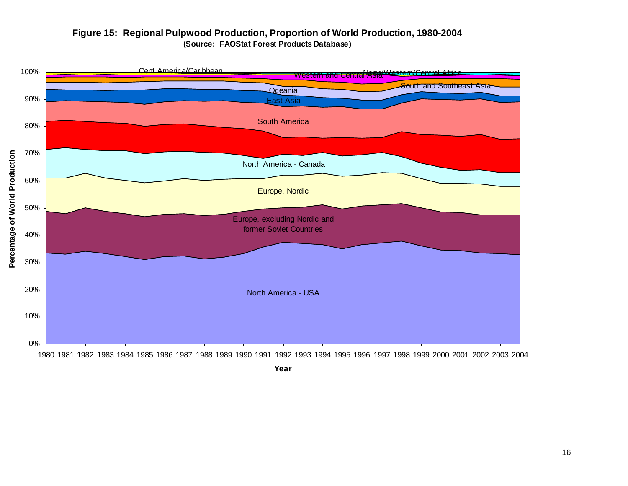## **Figure 15: Regional Pulpwood Production, Proportion of World Production, 1980-2004 (Source: FAOStat Forest Products Database)**

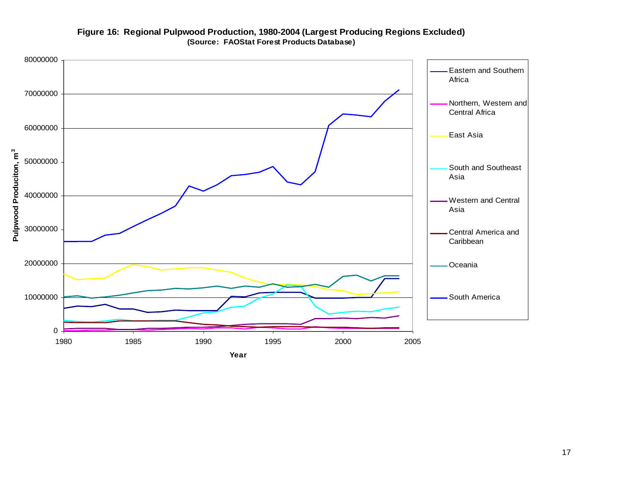

## **Figure 16: Regional Pulpwood Production, 1980-2004 (Largest Producing Regions Excluded) (Source: FAOStat Forest Products Database)**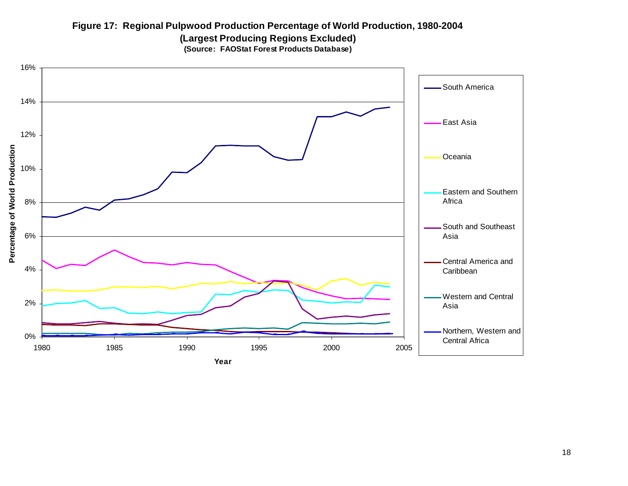## **Figure 17: Regional Pulpwood Production Percentage of World Production, 1980-2004 (Largest Producing Regions Excluded) (Source: FAOStat Forest Products Database)**

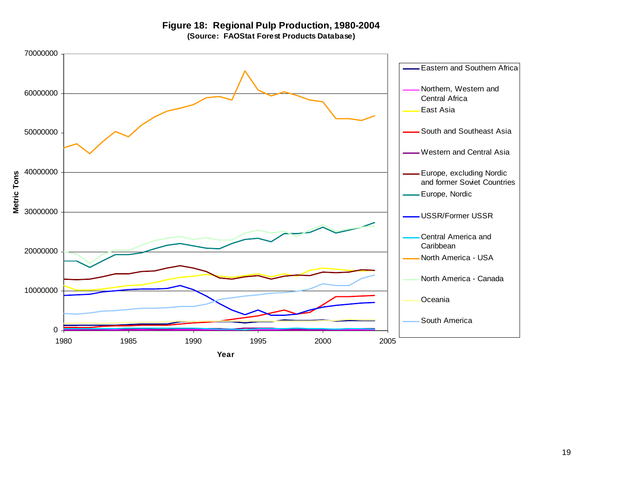**Figure 18: Regional Pulp Production, 1980-2004 (Source: FAOStat Forest Products Database)**

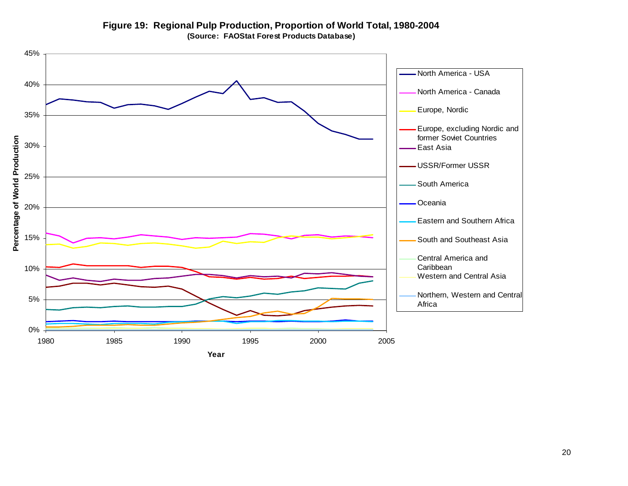

**Figure 19: Regional Pulp Production, Proportion of World Total, 1980-2004 (Source: FAOStat Forest Products Database)**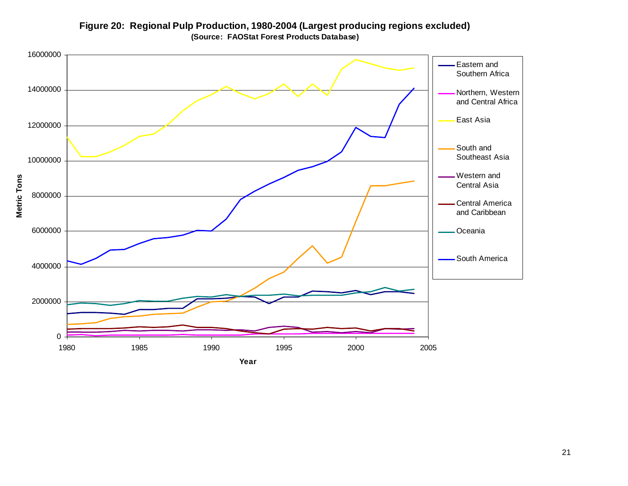

**Figure 20: Regional Pulp Production, 1980-2004 (Largest producing regions excluded) (Source: FAOStat Forest Products Database)**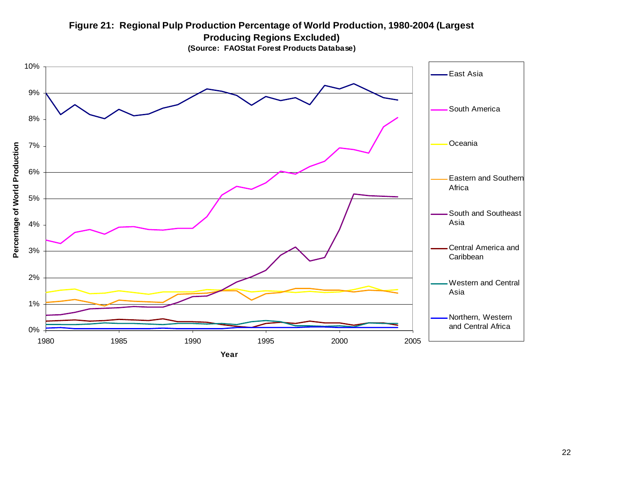## **Figure 21: Regional Pulp Production Percentage of World Production, 1980-2004 (Largest Producing Regions Excluded)**



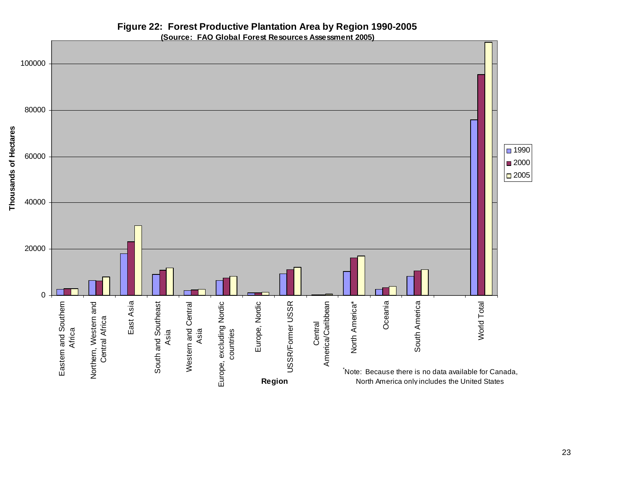## **Figure 22: Forest Productive Plantation Area by Region 1990-2005**

**(Source: FAO Global Forest Resources Assessment 2005)**

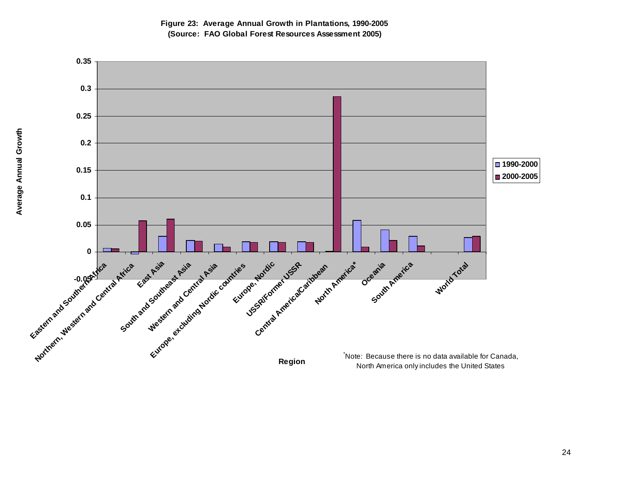

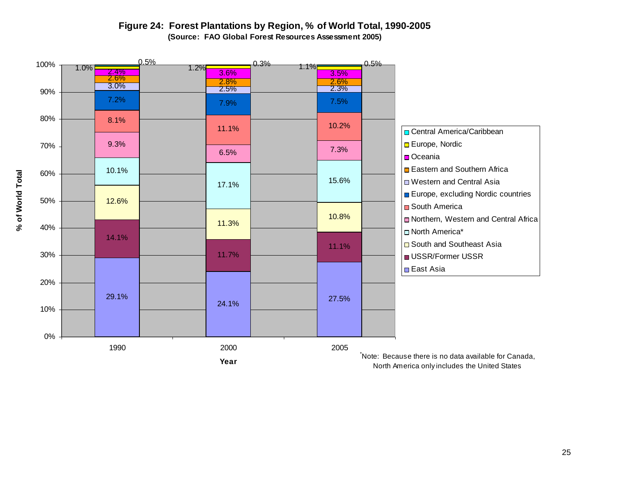## **Figure 24: Forest Plantations by Region, % of World Total, 1990-2005 (Source: FAO Global Forest Resources Assessment 2005)**



25